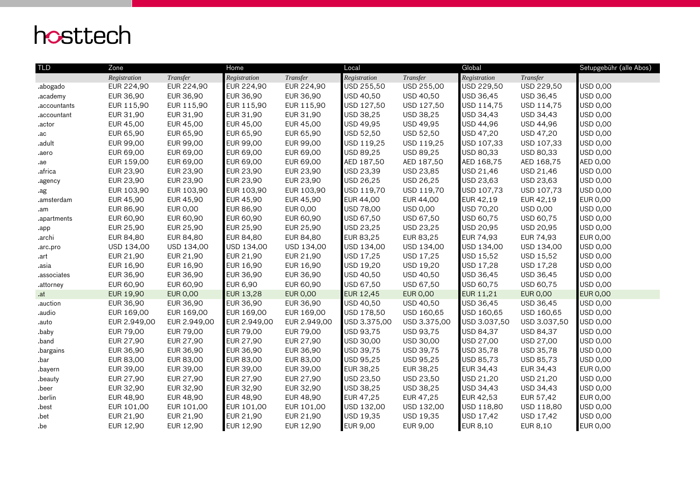## hosttech

| <b>TLD</b>   | Zone             |                 | Home             |                 | Local            |                 | Global           |                 | Setupgebühr (alle Abos) |
|--------------|------------------|-----------------|------------------|-----------------|------------------|-----------------|------------------|-----------------|-------------------------|
|              | Registration     | Transfer        | Registration     | Transfer        | Registration     | Transfer        | Registration     | Transfer        |                         |
| .abogado     | EUR 224,90       | EUR 224,90      | EUR 224,90       | EUR 224,90      | USD 255,50       | USD 255,00      | USD 229,50       | USD 229,50      | <b>USD 0,00</b>         |
| .academy     | EUR 36,90        | EUR 36,90       | EUR 36,90        | EUR 36,90       | USD 40,50        | USD 40,50       | USD 36,45        | USD 36,45       | USD 0,00                |
| .accountants | EUR 115,90       | EUR 115,90      | EUR 115,90       | EUR 115,90      | USD 127,50       | USD 127,50      | USD 114,75       | USD 114,75      | <b>USD 0,00</b>         |
| .accountant  | EUR 31,90        | EUR 31,90       | EUR 31,90        | EUR 31,90       | USD 38,25        | USD 38,25       | USD 34,43        | USD 34,43       | USD 0,00                |
| .actor       | EUR 45,00        | EUR 45,00       | EUR 45,00        | EUR 45,00       | USD 49,95        | USD 49,95       | USD 44,96        | USD 44,96       | <b>USD 0,00</b>         |
| .ac          | EUR 65,90        | EUR 65,90       | EUR 65,90        | EUR 65,90       | USD 52,50        | USD 52,50       | USD 47,20        | USD 47,20       | USD 0,00                |
| .adult       | EUR 99,00        | EUR 99,00       | <b>EUR 99,00</b> | EUR 99,00       | USD 119,25       | USD 119,25      | USD 107,33       | USD 107,33      | <b>USD 0,00</b>         |
| .aero        | EUR 69,00        | EUR 69,00       | EUR 69,00        | EUR 69,00       | USD 89,25        | USD 89,25       | USD 80,33        | USD 80,33       | USD 0,00                |
| .ae          | EUR 159,00       | EUR 69,00       | EUR 69,00        | EUR 69,00       | AED 187,50       | AED 187,50      | AED 168,75       | AED 168,75      | <b>AED 0,00</b>         |
| .africa      | EUR 23,90        | EUR 23,90       | EUR 23,90        | EUR 23,90       | USD 23,39        | USD 23,85       | USD 21,46        | USD 21,46       | <b>USD 0,00</b>         |
| .agency      | EUR 23,90        | EUR 23,90       | EUR 23,90        | EUR 23,90       | USD 26,25        | USD 26,25       | USD 23,63        | USD 23,63       | USD 0,00                |
| .ag          | EUR 103,90       | EUR 103,90      | EUR 103,90       | EUR 103,90      | USD 119,70       | USD 119,70      | USD 107,73       | USD 107,73      | USD 0,00                |
| .amsterdam   | EUR 45,90        | EUR 45,90       | EUR 45,90        | EUR 45,90       | EUR 44,00        | EUR 44,00       | EUR 42,19        | EUR 42,19       | <b>EUR 0,00</b>         |
| .am          | EUR 86,90        | EUR 0,00        | EUR 86,90        | <b>EUR 0,00</b> | USD 78,00        | <b>USD 0,00</b> | USD 70,20        | USD 0,00        | <b>USD 0,00</b>         |
| .apartments  | EUR 60,90        | EUR 60,90       | EUR 60,90        | EUR 60,90       | USD 67,50        | USD 67,50       | USD 60,75        | USD 60,75       | <b>USD 0,00</b>         |
| .app         | EUR 25,90        | EUR 25,90       | <b>EUR 25,90</b> | EUR 25,90       | USD 23,25        | USD 23,25       | USD 20,95        | USD 20,95       | USD 0,00                |
| .archi       | EUR 84,80        | EUR 84,80       | <b>EUR 84,80</b> | EUR 84,80       | EUR 83,25        | EUR 83,25       | EUR 74,93        | EUR 74,93       | <b>EUR 0,00</b>         |
| .arc.pro     | USD 134,00       | USD 134,00      | USD 134,00       | USD 134,00      | USD 134,00       | USD 134,00      | USD 134,00       | USD 134,00      | USD 0,00                |
| .art         | EUR 21,90        | EUR 21,90       | EUR 21,90        | EUR 21,90       | USD 17,25        | USD 17,25       | USD 15,52        | USD 15,52       | <b>USD 0,00</b>         |
| .asia        | EUR 16,90        | EUR 16,90       | EUR 16,90        | EUR 16,90       | USD 19,20        | USD 19,20       | USD 17,28        | USD 17,28       | <b>USD 0,00</b>         |
| .associates  | EUR 36,90        | EUR 36,90       | EUR 36,90        | EUR 36,90       | USD 40,50        | USD 40,50       | USD 36,45        | USD 36,45       | USD 0,00                |
| .attorney    | EUR 60,90        | EUR 60,90       | <b>EUR 6,90</b>  | EUR 60,90       | USD 67,50        | USD 67,50       | USD 60,75        | USD 60,75       | USD 0,00                |
| .at          | <b>EUR 19,90</b> | <b>EUR 0,00</b> | <b>EUR 13,28</b> | <b>EUR 0,00</b> | <b>EUR 12,45</b> | <b>EUR 0,00</b> | <b>EUR 11,21</b> | <b>EUR 0,00</b> | <b>EUR 0,00</b>         |
| .auction     | EUR 36,90        | EUR 36,90       | EUR 36,90        | EUR 36,90       | USD 40,50        | USD 40,50       | USD 36,45        | USD 36,45       | <b>USD 0,00</b>         |
| .audio       | EUR 169,00       | EUR 169,00      | EUR 169,00       | EUR 169,00      | USD 178,50       | USD 160,65      | USD 160,65       | USD 160,65      | <b>USD 0,00</b>         |
| .auto        | EUR 2.949,00     | EUR 2.949,00    | EUR 2.949,00     | EUR 2.949,00    | USD 3.375,00     | USD 3.375,00    | USD 3.037,50     | USD 3.037,50    | <b>USD 0,00</b>         |
| .baby        | EUR 79,00        | EUR 79,00       | <b>EUR 79,00</b> | EUR 79,00       | USD 93,75        | USD 93,75       | USD 84,37        | USD 84,37       | <b>USD 0,00</b>         |
| .band        | EUR 27,90        | EUR 27,90       | <b>EUR 27,90</b> | EUR 27,90       | USD 30,00        | USD 30,00       | USD 27,00        | USD 27,00       | USD 0,00                |
| bargains.    | EUR 36,90        | EUR 36,90       | EUR 36,90        | EUR 36,90       | USD 39,75        | USD 39,75       | <b>USD 35,78</b> | USD 35,78       | USD 0,00                |
| .bar         | EUR 83,00        | EUR 83,00       | EUR 83,00        | EUR 83,00       | USD 95,25        | USD 95,25       | USD 85,73        | USD 85,73       | USD 0,00                |
| .bayern      | EUR 39,00        | EUR 39,00       | EUR 39,00        | EUR 39,00       | EUR 38,25        | EUR 38,25       | EUR 34,43        | EUR 34,43       | <b>EUR 0,00</b>         |
| .beauty      | EUR 27,90        | EUR 27,90       | EUR 27,90        | EUR 27,90       | USD 23,50        | USD 23,50       | USD 21,20        | USD 21,20       | <b>USD 0,00</b>         |
| .beer        | EUR 32,90        | EUR 32,90       | EUR 32,90        | EUR 32,90       | USD 38,25        | USD 38,25       | USD 34,43        | USD 34,43       | USD 0,00                |
| .berlin      | EUR 48,90        | EUR 48,90       | <b>EUR 48,90</b> | EUR 48,90       | EUR 47,25        | EUR 47,25       | EUR 42,53        | EUR 57,42       | <b>EUR 0,00</b>         |
| .best        | EUR 101,00       | EUR 101,00      | EUR 101,00       | EUR 101,00      | USD 132,00       | USD 132,00      | USD 118,80       | USD 118,80      | <b>USD 0,00</b>         |
| .bet         | EUR 21,90        | EUR 21,90       | EUR 21,90        | EUR 21,90       | USD 19,35        | USD 19,35       | USD 17,42        | USD 17,42       | <b>USD 0,00</b>         |
| .be          | EUR 12,90        | EUR 12,90       | <b>EUR 12,90</b> | EUR 12,90       | <b>EUR 9,00</b>  | EUR 9,00        | EUR 8,10         | EUR 8,10        | <b>EUR 0,00</b>         |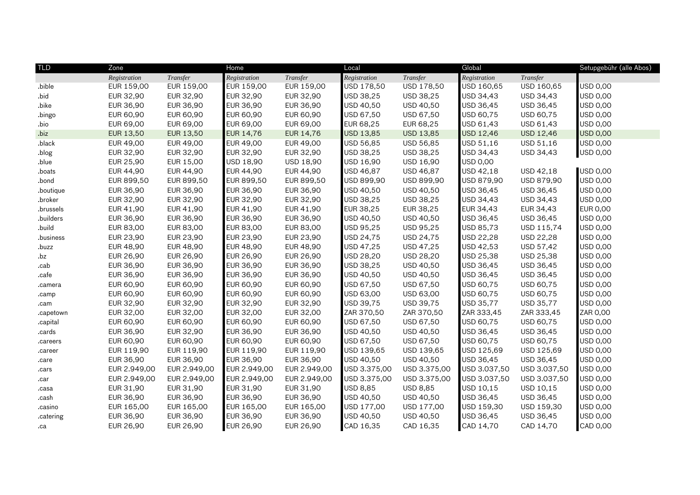| <b>TLD</b> | Zone         |              | Home             |              | Local            |                  | Global           |                  | Setupgebühr (alle Abos) |
|------------|--------------|--------------|------------------|--------------|------------------|------------------|------------------|------------------|-------------------------|
|            | Registration | Transfer     | Registration     | Transfer     | Registration     | Transfer         | Registration     | Transfer         |                         |
| .bible     | EUR 159,00   | EUR 159,00   | EUR 159,00       | EUR 159,00   | USD 178,50       | USD 178,50       | USD 160,65       | USD 160,65       | USD 0,00                |
| .bid       | EUR 32,90    | EUR 32,90    | <b>EUR 32,90</b> | EUR 32,90    | USD 38,25        | <b>USD 38,25</b> | USD 34,43        | USD 34,43        | USD 0,00                |
| .bike      | EUR 36,90    | EUR 36,90    | EUR 36,90        | EUR 36,90    | USD 40,50        | USD 40,50        | USD 36,45        | USD 36,45        | USD 0,00                |
| .bingo     | EUR 60,90    | EUR 60,90    | <b>EUR 60,90</b> | EUR 60,90    | USD 67,50        | USD 67,50        | USD 60,75        | USD 60,75        | USD 0,00                |
| .bio       | EUR 69,00    | EUR 69,00    | EUR 69,00        | EUR 69,00    | EUR 68,25        | EUR 68,25        | USD 61,43        | USD 61,43        | USD 0,00                |
| .biz       | EUR 13,50    | EUR 13,50    | <b>EUR 14,76</b> | EUR 14,76    | <b>USD 13,85</b> | USD 13,85        | <b>USD 12,46</b> | <b>USD 12,46</b> | <b>USD 0,00</b>         |
| .black     | EUR 49,00    | EUR 49,00    | EUR 49,00        | EUR 49,00    | USD 56,85        | <b>USD 56,85</b> | USD 51,16        | USD 51,16        | <b>USD 0,00</b>         |
| .blog      | EUR 32,90    | EUR 32,90    | <b>EUR 32,90</b> | EUR 32,90    | USD 38,25        | USD 38,25        | USD 34,43        | USD 34,43        | USD 0,00                |
| .blue      | EUR 25,90    | EUR 15,00    | USD 18,90        | USD 18,90    | USD 16,90        | USD 16,90        | <b>USD 0,00</b>  |                  |                         |
| .boats     | EUR 44,90    | EUR 44,90    | <b>EUR 44,90</b> | EUR 44,90    | USD 46,87        | USD 46,87        | USD 42.18        | USD 42,18        | <b>USD 0,00</b>         |
| .bond      | EUR 899,50   | EUR 899,50   | EUR 899,50       | EUR 899,50   | USD 899,90       | USD 899,90       | USD 879,90       | USD 879,90       | USD 0,00                |
| .boutique  | EUR 36,90    | EUR 36,90    | <b>EUR 36,90</b> | EUR 36,90    | USD 40,50        | USD 40,50        | USD 36,45        | USD 36,45        | USD 0,00                |
| .broker    | EUR 32,90    | EUR 32,90    | EUR 32,90        | EUR 32,90    | USD 38,25        | USD 38,25        | USD 34,43        | USD 34,43        | USD 0,00                |
| .brussels  | EUR 41,90    | EUR 41,90    | EUR 41,90        | EUR 41,90    | EUR 38,25        | EUR 38,25        | EUR 34,43        | EUR 34,43        | <b>EUR 0,00</b>         |
| .builders  | EUR 36,90    | EUR 36,90    | EUR 36,90        | EUR 36,90    | USD 40,50        | USD 40,50        | USD 36,45        | USD 36,45        | USD 0,00                |
| build.     | EUR 83,00    | EUR 83,00    | <b>EUR 83,00</b> | EUR 83,00    | USD 95,25        | USD 95,25        | USD 85,73        | USD 115,74       | USD 0,00                |
| .business  | EUR 23,90    | EUR 23,90    | EUR 23,90        | EUR 23,90    | USD 24,75        | USD 24,75        | USD 22,28        | USD 22,28        | USD 0,00                |
| .buzz      | EUR 48,90    | EUR 48,90    | <b>EUR 48,90</b> | EUR 48,90    | USD 47,25        | USD 47,25        | USD 42,53        | USD 57,42        | USD 0,00                |
| .bz        | EUR 26,90    | EUR 26,90    | <b>EUR 26,90</b> | EUR 26,90    | USD 28,20        | USD 28,20        | USD 25,38        | USD 25,38        | USD 0,00                |
| .cab       | EUR 36,90    | EUR 36,90    | <b>EUR 36,90</b> | EUR 36,90    | USD 38,25        | USD 40,50        | <b>USD 36,45</b> | USD 36,45        | USD 0,00                |
| .cafe      | EUR 36,90    | EUR 36,90    | EUR 36,90        | EUR 36,90    | USD 40,50        | USD 40,50        | USD 36,45        | USD 36,45        | USD 0,00                |
| .camera    | EUR 60,90    | EUR 60,90    | <b>EUR 60,90</b> | EUR 60,90    | USD 67,50        | USD 67,50        | USD 60,75        | USD 60,75        | USD 0,00                |
| .camp      | EUR 60,90    | EUR 60,90    | EUR 60,90        | EUR 60,90    | USD 63,00        | USD 63,00        | USD 60,75        | USD 60,75        | USD 0,00                |
| .cam       | EUR 32,90    | EUR 32,90    | <b>EUR 32,90</b> | EUR 32,90    | USD 39,75        | USD 39,75        | USD 35,77        | USD 35,77        | USD 0,00                |
| .capetown  | EUR 32,00    | EUR 32,00    | EUR 32,00        | EUR 32,00    | ZAR 370,50       | ZAR 370,50       | ZAR 333,45       | ZAR 333,45       | ZAR 0,00                |
| .capital   | EUR 60,90    | EUR 60,90    | EUR 60,90        | EUR 60,90    | USD 67,50        | USD 67,50        | USD 60,75        | USD 60,75        | USD 0,00                |
| .cards     | EUR 36,90    | EUR 32,90    | EUR 36,90        | EUR 36,90    | USD 40,50        | USD 40,50        | <b>USD 36,45</b> | USD 36,45        | USD 0,00                |
| .careers   | EUR 60,90    | EUR 60,90    | <b>EUR 60,90</b> | EUR 60,90    | USD 67,50        | USD 67,50        | USD 60,75        | USD 60,75        | USD 0,00                |
| .career    | EUR 119,90   | EUR 119,90   | EUR 119,90       | EUR 119,90   | USD 139,65       | USD 139,65       | USD 125,69       | USD 125,69       | USD 0,00                |
| .care      | EUR 36,90    | EUR 36,90    | EUR 36,90        | EUR 36,90    | USD 40,50        | USD 40,50        | <b>USD 36,45</b> | USD 36,45        | USD 0,00                |
| .cars      | EUR 2.949,00 | EUR 2.949,00 | EUR 2.949,00     | EUR 2.949,00 | USD 3.375,00     | USD 3.375,00     | USD 3.037,50     | USD 3.037,50     | USD 0,00                |
| .car       | EUR 2.949,00 | EUR 2.949,00 | EUR 2.949,00     | EUR 2.949,00 | USD 3.375,00     | USD 3.375,00     | USD 3.037,50     | USD 3.037,50     | USD 0,00                |
| .casa      | EUR 31,90    | EUR 31,90    | EUR 31,90        | EUR 31,90    | <b>USD 8,85</b>  | <b>USD 8,85</b>  | USD 10,15        | USD 10,15        | USD 0,00                |
| .cash      | EUR 36,90    | EUR 36,90    | EUR 36,90        | EUR 36,90    | USD 40,50        | USD 40,50        | USD 36,45        | USD 36,45        | USD 0,00                |
| .casino    | EUR 165,00   | EUR 165,00   | EUR 165,00       | EUR 165,00   | USD 177,00       | USD 177,00       | USD 159,30       | USD 159,30       | USD 0,00                |
| .catering  | EUR 36,90    | EUR 36,90    | <b>EUR 36,90</b> | EUR 36,90    | USD 40,50        | USD 40,50        | USD 36,45        | USD 36,45        | USD 0,00                |
| .ca        | EUR 26,90    | EUR 26,90    | EUR 26,90        | EUR 26,90    | CAD 16,35        | CAD 16,35        | CAD 14,70        | CAD 14,70        | CAD 0,00                |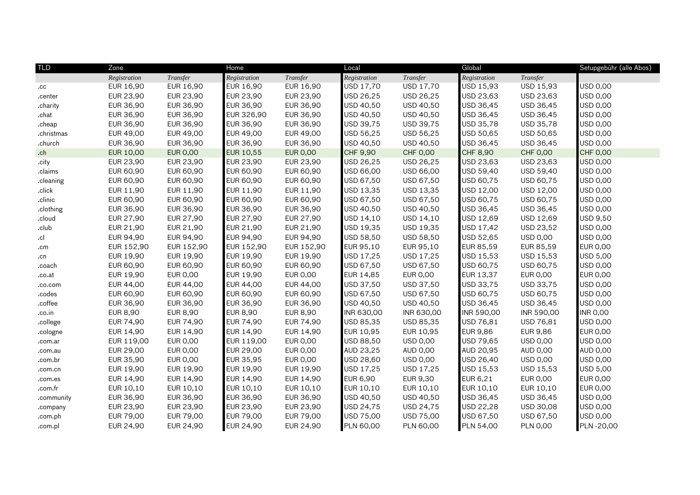| <b>TLD</b>  | Zone            |                 | Home             |                 | Local            |                  | Global           |                 | Setupgebühr (alle Abos) |
|-------------|-----------------|-----------------|------------------|-----------------|------------------|------------------|------------------|-----------------|-------------------------|
|             | Registration    | Transfer        | Registration     | Transfer        | Registration     | Transfer         | Registration     | Transfer        |                         |
| $_{\rm cc}$ | EUR 16,90       | EUR 16,90       | EUR 16,90        | EUR 16,90       | USD 17,70        | <b>USD 17,70</b> | USD 15,93        | USD 15,93       | USD 0,00                |
| .center     | EUR 23,90       | EUR 23,90       | EUR 23,90        | EUR 23,90       | USD 26,25        | USD 26,25        | USD 23,63        | USD 23,63       | USD 0,00                |
| .charity    | EUR 36,90       | EUR 36,90       | EUR 36,90        | EUR 36,90       | USD 40,50        | USD 40,50        | USD 36,45        | USD 36,45       | USD 0,00                |
| .chat       | EUR 36,90       | EUR 36,90       | EUR 326,90       | EUR 36,90       | USD 40,50        | USD 40,50        | USD 36,45        | USD 36,45       | USD 0,00                |
| .cheap      | EUR 36,90       | EUR 36,90       | EUR 36,90        | EUR 36,90       | USD 39,75        | USD 39,75        | USD 35,78        | USD 35,78       | USD 0,00                |
| .christmas  | EUR 49,00       | EUR 49,00       | EUR 49,00        | EUR 49,00       | USD 56,25        | USD 56,25        | USD 50,65        | USD 50,65       | USD 0,00                |
| .church     | EUR 36,90       | EUR 36,90       | EUR 36,90        | EUR 36,90       | USD 40,50        | USD 40,50        | USD 36,45        | USD 36,45       | USD 0,00                |
| .ch         | EUR 10,00       | <b>EUR 0,00</b> | <b>EUR 10,55</b> | <b>EUR 0,00</b> | CHF 9,90         | <b>CHF 0,00</b>  | CHF 8,90         | <b>CHF 0,00</b> | <b>CHF 0,00</b>         |
| .city       | EUR 23,90       | EUR 23,90       | EUR 23,90        | EUR 23,90       | USD 26,25        | USD 26,25        | USD 23,63        | USD 23,63       | <b>USD 0,00</b>         |
| .claims     | EUR 60,90       | EUR 60,90       | EUR 60,90        | EUR 60,90       | USD 66,00        | USD 66,00        | USD 59,40        | USD 59,40       | USD 0,00                |
| .cleaning   | EUR 60,90       | EUR 60,90       | EUR 60,90        | EUR 60,90       | USD 67,50        | USD 67,50        | USD 60,75        | USD 60,75       | USD 0,00                |
| .click      | EUR 11,90       | EUR 11,90       | EUR 11,90        | EUR 11,90       | USD 13,35        | USD 13,35        | USD 12,00        | USD 12,00       | USD 0,00                |
| .clinic     | EUR 60,90       | EUR 60,90       | EUR 60,90        | EUR 60,90       | USD 67,50        | USD 67,50        | USD 60,75        | USD 60,75       | USD 0,00                |
| .clothing   | EUR 36,90       | EUR 36,90       | EUR 36,90        | EUR 36,90       | USD 40,50        | USD 40,50        | USD 36,45        | USD 36,45       | USD 0,00                |
| .cloud      | EUR 27,90       | EUR 27,90       | EUR 27,90        | EUR 27,90       | USD 14,10        | USD 14,10        | USD 12,69        | USD 12,69       | USD 9,50                |
| .club       | EUR 21,90       | EUR 21,90       | EUR 21,90        | EUR 21,90       | USD 19,35        | USD 19,35        | USD 17,42        | USD 23,52       | USD 0,00                |
| .cl         | EUR 94,90       | EUR 94,90       | EUR 94,90        | EUR 94,90       | USD 58,50        | USD 58,50        | USD 52,65        | <b>USD 0,00</b> | USD 0,00                |
| .cm         | EUR 152,90      | EUR 152,90      | EUR 152,90       | EUR 152,90      | EUR 95,10        | EUR 95,10        | EUR 85,59        | EUR 85,59       | <b>EUR 0,00</b>         |
| .cn         | EUR 19,90       | EUR 19,90       | EUR 19,90        | EUR 19,90       | USD 17,25        | USD 17,25        | USD 15,53        | USD 15,53       | <b>USD 5,00</b>         |
| .coach      | EUR 60,90       | EUR 60,90       | EUR 60,90        | EUR 60,90       | USD 67,50        | USD 67,50        | USD 60,75        | USD 60,75       | USD 0,00                |
| .co.at      | EUR 19,90       | EUR 0,00        | EUR 19,90        | EUR 0,00        | EUR 14,85        | EUR 0,00         | EUR 13,37        | EUR 0,00        | <b>EUR 0,00</b>         |
| .co.com     | EUR 44,00       | EUR 44,00       | EUR 44,00        | EUR 44,00       | USD 37,50        | USD 37,50        | USD 33,75        | USD 33,75       | USD 0,00                |
| .codes      | EUR 60,90       | EUR 60,90       | EUR 60,90        | EUR 60,90       | USD 67,50        | USD 67,50        | USD 60,75        | USD 60,75       | <b>USD 0,00</b>         |
| .coffee     | EUR 36,90       | EUR 36,90       | EUR 36,90        | EUR 36,90       | USD 40,50        | USD 40,50        | USD 36,45        | USD 36,45       | USD 0,00                |
| .co.in      | <b>EUR 8,90</b> | <b>EUR 8,90</b> | <b>EUR 8,90</b>  | EUR 8,90        | INR 630,00       | INR 630,00       | INR 590,00       | INR 590,00      | <b>INR 0,00</b>         |
| .college    | EUR 74,90       | EUR 74,90       | EUR 74,90        | EUR 74,90       | USD 85,35        | USD 85,35        | USD 76,81        | USD 76,81       | USD 0,00                |
| .cologne    | EUR 14,90       | EUR 14,90       | EUR 14,90        | EUR 14,90       | <b>EUR 10,95</b> | EUR 10,95        | <b>EUR 9,86</b>  | EUR 9,86        | <b>EUR 0,00</b>         |
| .com.ar     | EUR 119,00      | EUR 0,00        | EUR 119,00       | EUR 0,00        | USD 88,50        | USD 0,00         | USD 79,65        | <b>USD 0,00</b> | USD 0,00                |
| .com.au     | EUR 29,00       | EUR 0,00        | EUR 29,00        | EUR 0,00        | <b>AUD 23,25</b> | AUD 0,00         | <b>AUD 20,95</b> | AUD 0,00        | <b>AUD 0,00</b>         |
| .com.br     | EUR 35,90       | EUR 0,00        | EUR 35,95        | EUR 0,00        | USD 28,60        | <b>USD 0,00</b>  | USD 26,40        | <b>USD 0,00</b> | USD 0,00                |
| .com.cn     | EUR 19,90       | EUR 19,90       | EUR 19,90        | EUR 19,90       | USD 17,25        | USD 17,25        | USD 15,53        | USD 15,53       | <b>USD 5,00</b>         |
| .com.es     | EUR 14,90       | EUR 14,90       | EUR 14,90        | EUR 14,90       | <b>EUR 6,90</b>  | EUR 9,30         | EUR 6,21         | EUR 0,00        | <b>EUR 0,00</b>         |
| .com.fr     | EUR 10,10       | EUR 10,10       | EUR 10,10        | EUR 10,10       | EUR 10,10        | EUR 10,10        | EUR 10,10        | EUR 10,10       | <b>EUR 0,00</b>         |
| .community  | EUR 36,90       | EUR 36,90       | EUR 36,90        | EUR 36,90       | USD 40,50        | USD 40,50        | USD 36,45        | USD 36,45       | USD 0,00                |
| .company    | EUR 23,90       | EUR 23,90       | EUR 23,90        | EUR 23,90       | USD 24,75        | USD 24,75        | USD 22,28        | USD 30,08       | USD 0,00                |
| .com.ph     | EUR 79,00       | EUR 79,00       | EUR 79,00        | EUR 79,00       | USD 75,00        | USD 75,00        | USD 67,50        | USD 67,50       | USD 0,00                |
| .com.pl     | EUR 24,90       | EUR 24,90       | EUR 24,90        | EUR 24,90       | PLN 60,00        | PLN 60,00        | PLN 54,00        | <b>PLN 0,00</b> | PLN -20,00              |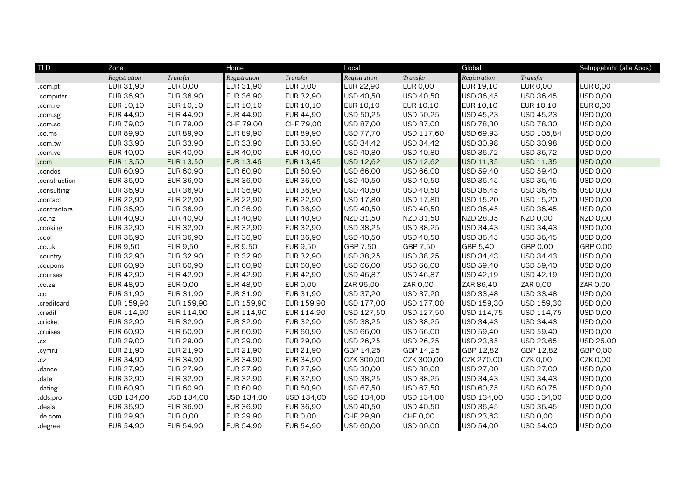| <b>TLD</b>    | Zone         |                 | Home             |            | Local        |                  | Global           |                  | Setupgebühr (alle Abos) |
|---------------|--------------|-----------------|------------------|------------|--------------|------------------|------------------|------------------|-------------------------|
|               | Registration | Transfer        | Registration     | Transfer   | Registration | Transfer         | Registration     | Transfer         |                         |
| .com.pt       | EUR 31,90    | EUR 0,00        | EUR 31,90        | EUR 0,00   | EUR 22,90    | EUR 0,00         | <b>EUR 19,10</b> | EUR 0,00         | <b>EUR 0,00</b>         |
| .computer     | EUR 36,90    | EUR 36,90       | EUR 36,90        | EUR 32,90  | USD 40,50    | USD 40,50        | USD 36,45        | USD 36,45        | USD 0,00                |
| .com.re       | EUR 10,10    | EUR 10,10       | EUR 10,10        | EUR 10,10  | EUR 10,10    | EUR 10,10        | <b>EUR 10,10</b> | EUR 10,10        | <b>EUR 0,00</b>         |
| .com.sg       | EUR 44,90    | EUR 44,90       | <b>EUR 44,90</b> | EUR 44,90  | USD 50,25    | USD 50,25        | USD 45,23        | USD 45,23        | <b>USD 0,00</b>         |
| .com.so       | EUR 79,00    | EUR 79,00       | CHF 79,00        | CHF 79,00  | USD 87,00    | USD 87,00        | USD 78,30        | USD 78,30        | USD 0,00                |
| .co.ms        | EUR 89,90    | EUR 89,90       | EUR 89,90        | EUR 89,90  | USD 77,70    | USD 117,60       | USD 69,93        | USD 105,84       | <b>USD 0,00</b>         |
| .com.tw       | EUR 33,90    | EUR 33,90       | <b>EUR 33,90</b> | EUR 33,90  | USD 34,42    | USD 34,42        | USD 30,98        | USD 30,98        | USD 0,00                |
| .com.vc       | EUR 40,90    | EUR 40,90       | EUR 40,90        | EUR 40,90  | USD 40,80    | USD 40,80        | USD 36,72        | USD 36,72        | <b>USD 0,00</b>         |
| .com          | EUR 13,50    | EUR 13,50       | EUR 13,45        | EUR 13,45  | USD 12,62    | USD 12,62        | USD 11,35        | <b>USD 11,35</b> | <b>USD 0,00</b>         |
| .condos       | EUR 60,90    | EUR 60,90       | EUR 60,90        | EUR 60,90  | USD 66,00    | USD 66,00        | USD 59,40        | USD 59,40        | <b>USD 0,00</b>         |
| .construction | EUR 36,90    | EUR 36,90       | EUR 36,90        | EUR 36,90  | USD 40,50    | USD 40,50        | USD 36,45        | USD 36,45        | USD 0,00                |
| .consulting   | EUR 36,90    | EUR 36,90       | EUR 36,90        | EUR 36,90  | USD 40,50    | USD 40,50        | USD 36,45        | USD 36,45        | USD 0,00                |
| .contact      | EUR 22,90    | EUR 22,90       | EUR 22,90        | EUR 22,90  | USD 17.80    | <b>USD 17,80</b> | USD 15,20        | USD 15,20        | <b>USD 0,00</b>         |
| .contractors  | EUR 36,90    | EUR 36,90       | EUR 36,90        | EUR 36,90  | USD 40,50    | USD 40,50        | USD 36,45        | USD 36,45        | USD 0,00                |
| .co.nz        | EUR 40,90    | EUR 40,90       | <b>EUR 40,90</b> | EUR 40,90  | NZD 31,50    | NZD 31,50        | NZD 28,35        | NZD 0,00         | <b>NZD 0,00</b>         |
| .cooking      | EUR 32,90    | EUR 32,90       | <b>EUR 32,90</b> | EUR 32,90  | USD 38,25    | USD 38,25        | USD 34,43        | USD 34,43        | USD 0,00                |
| .cool         | EUR 36,90    | EUR 36,90       | EUR 36,90        | EUR 36,90  | USD 40,50    | USD 40,50        | USD 36,45        | USD 36,45        | USD 0,00                |
| .co.uk        | EUR 9,50     | EUR 9,50        | <b>EUR 9,50</b>  | EUR 9,50   | GBP 7,50     | GBP 7,50         | GBP 5,40         | GBP 0,00         | GBP 0,00                |
| .country      | EUR 32,90    | EUR 32,90       | <b>EUR 32,90</b> | EUR 32,90  | USD 38,25    | USD 38,25        | USD 34,43        | USD 34,43        | USD 0,00                |
| .coupons      | EUR 60,90    | EUR 60,90       | <b>EUR 60,90</b> | EUR 60,90  | USD 66,00    | USD 66,00        | USD 59,40        | USD 59,40        | USD 0,00                |
| .courses      | EUR 42,90    | EUR 42,90       | <b>EUR 42,90</b> | EUR 42,90  | USD 46,87    | USD 46,87        | USD 42,19        | USD 42,19        | USD 0,00                |
| .co.za        | EUR 48,90    | EUR 0,00        | EUR 48,90        | EUR 0,00   | ZAR 96,00    | ZAR 0,00         | ZAR 86,40        | ZAR 0,00         | ZAR 0,00                |
| .co           | EUR 31,90    | EUR 31,90       | EUR 31,90        | EUR 31,90  | USD 37,20    | USD 37,20        | USD 33,48        | USD 33,48        | <b>USD 0,00</b>         |
| .creditcard   | EUR 159,90   | EUR 159,90      | EUR 159,90       | EUR 159,90 | USD 177,00   | USD 177,00       | USD 159,30       | USD 159,30       | USD 0,00                |
| .credit       | EUR 114,90   | EUR 114,90      | EUR 114,90       | EUR 114,90 | USD 127,50   | USD 127,50       | USD 114,75       | USD 114,75       | USD 0,00                |
| .cricket      | EUR 32,90    | EUR 32,90       | EUR 32,90        | EUR 32,90  | USD 38,25    | USD 38,25        | USD 34,43        | USD 34,43        | USD 0,00                |
| .cruises      | EUR 60,90    | EUR 60,90       | <b>EUR 60,90</b> | EUR 60,90  | USD 66,00    | USD 66,00        | USD 59,40        | USD 59,40        | USD 0,00                |
| cx            | EUR 29,00    | EUR 29,00       | <b>EUR 29,00</b> | EUR 29,00  | USD 26,25    | USD 26,25        | USD 23,65        | USD 23,65        | USD 25,00               |
| .cymru        | EUR 21,90    | EUR 21,90       | <b>EUR 21,90</b> | EUR 21,90  | GBP 14,25    | GBP 14,25        | GBP 12,82        | GBP 12,82        | GBP 0,00                |
| .cz           | EUR 34,90    | EUR 34,90       | EUR 34,90        | EUR 34,90  | CZK 300,00   | CZK 300,00       | CZK 270,00       | CZK 0,00         | CZK 0,00                |
| .dance        | EUR 27,90    | EUR 27,90       | <b>EUR 27,90</b> | EUR 27,90  | USD 30,00    | USD 30,00        | USD 27,00        | USD 27,00        | USD 0,00                |
| .date         | EUR 32,90    | EUR 32,90       | <b>EUR 32,90</b> | EUR 32,90  | USD 38,25    | USD 38,25        | USD 34,43        | USD 34,43        | USD 0,00                |
| dating        | EUR 60,90    | EUR 60,90       | EUR 60,90        | EUR 60,90  | USD 67,50    | USD 67,50        | USD 60,75        | USD 60,75        | USD 0,00                |
| .dds.pro      | USD 134,00   | USD 134,00      | USD 134,00       | USD 134,00 | USD 134,00   | USD 134,00       | USD 134,00       | USD 134,00       | USD 0,00                |
| .deals        | EUR 36,90    | EUR 36,90       | <b>EUR 36,90</b> | EUR 36,90  | USD 40,50    | USD 40,50        | USD 36,45        | USD 36,45        | USD 0,00                |
| .de.com       | EUR 29,90    | <b>EUR 0,00</b> | <b>EUR 29,90</b> | EUR 0,00   | CHF 29,90    | CHF 0,00         | USD 23,63        | <b>USD 0,00</b>  | USD 0,00                |
| .degree       | EUR 54,90    | EUR 54,90       | EUR 54,90        | EUR 54,90  | USD 60,00    | USD 60,00        | <b>USD 54,00</b> | USD 54,00        | USD 0,00                |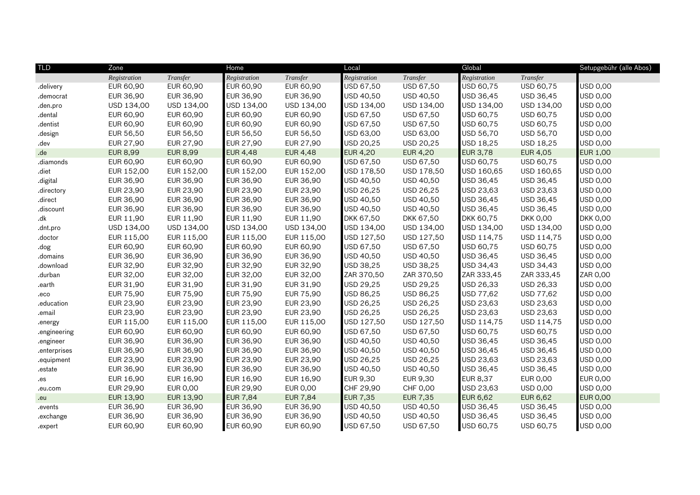| <b>TLD</b>    | Zone            |                 | Home             |                 | Local           |                 | Global           |                 | Setupgebühr (alle Abos) |
|---------------|-----------------|-----------------|------------------|-----------------|-----------------|-----------------|------------------|-----------------|-------------------------|
|               | Registration    | Transfer        | Registration     | Transfer        | Registration    | Transfer        | Registration     | Transfer        |                         |
| .delivery     | EUR 60,90       | EUR 60,90       | EUR 60,90        | EUR 60,90       | USD 67,50       | USD 67,50       | USD 60,75        | USD 60,75       | <b>USD 0,00</b>         |
| .democrat     | EUR 36,90       | EUR 36,90       | EUR 36,90        | EUR 36,90       | USD 40,50       | USD 40,50       | USD 36,45        | USD 36,45       | <b>USD 0,00</b>         |
| .den.pro      | USD 134,00      | USD 134,00      | USD 134,00       | USD 134,00      | USD 134,00      | USD 134,00      | USD 134,00       | USD 134,00      | <b>USD 0,00</b>         |
| .dental       | EUR 60,90       | EUR 60,90       | <b>EUR 60,90</b> | EUR 60,90       | USD 67,50       | USD 67,50       | USD 60,75        | USD 60,75       | <b>USD 0,00</b>         |
| .dentist      | EUR 60,90       | EUR 60,90       | EUR 60,90        | EUR 60,90       | USD 67,50       | USD 67,50       | USD 60,75        | USD 60,75       | USD 0,00                |
| .design       | EUR 56,50       | EUR 56,50       | EUR 56,50        | EUR 56,50       | USD 63,00       | USD 63,00       | USD 56,70        | USD 56,70       | <b>USD 0,00</b>         |
| .dev          | EUR 27,90       | EUR 27,90       | <b>EUR 27,90</b> | EUR 27,90       | USD 20,25       | USD 20,25       | USD 18,25        | USD 18,25       | <b>USD 0,00</b>         |
| .de           | <b>EUR 8,99</b> | <b>EUR 8,99</b> | <b>EUR 4,48</b>  | <b>EUR 4,48</b> | <b>EUR 4,20</b> | EUR 4,20        | <b>EUR 3,78</b>  | EUR 4,05        | <b>EUR 1,00</b>         |
| diamonds      | EUR 60,90       | EUR 60,90       | <b>EUR 60,90</b> | EUR 60,90       | USD 67,50       | USD 67,50       | USD 60,75        | USD 60,75       | <b>USD 0,00</b>         |
| .diet         | EUR 152,00      | EUR 152,00      | EUR 152,00       | EUR 152,00      | USD 178,50      | USD 178,50      | USD 160,65       | USD 160,65      | USD 0,00                |
| digital.      | EUR 36,90       | EUR 36,90       | <b>EUR 36,90</b> | EUR 36,90       | USD 40,50       | USD 40,50       | USD 36,45        | USD 36,45       | USD 0,00                |
| directory.    | EUR 23,90       | EUR 23,90       | EUR 23,90        | EUR 23,90       | USD 26,25       | USD 26,25       | USD 23,63        | USD 23,63       | <b>USD 0,00</b>         |
| .direct       | EUR 36,90       | EUR 36,90       | <b>EUR 36,90</b> | EUR 36,90       | USD 40,50       | USD 40,50       | USD 36,45        | USD 36,45       | <b>USD 0,00</b>         |
| .discount     | EUR 36,90       | EUR 36,90       | EUR 36,90        | EUR 36,90       | USD 40,50       | USD 40,50       | USD 36,45        | USD 36,45       | <b>USD 0,00</b>         |
| $d\mathsf{k}$ | EUR 11,90       | EUR 11,90       | <b>EUR 11,90</b> | EUR 11,90       | DKK 67,50       | DKK 67,50       | <b>DKK 60,75</b> | <b>DKK 0,00</b> | <b>DKK 0,00</b>         |
| .dnt.pro      | USD 134,00      | USD 134,00      | USD 134,00       | USD 134,00      | USD 134,00      | USD 134,00      | USD 134,00       | USD 134,00      | USD 0,00                |
| .doctor       | EUR 115,00      | EUR 115,00      | EUR 115,00       | EUR 115,00      | USD 127,50      | USD 127,50      | USD 114,75       | USD 114,75      | USD 0,00                |
| .dog          | EUR 60,90       | EUR 60,90       | EUR 60,90        | EUR 60,90       | USD 67,50       | USD 67,50       | USD 60,75        | USD 60,75       | <b>USD 0,00</b>         |
| .domains      | EUR 36,90       | EUR 36,90       | <b>EUR 36,90</b> | EUR 36,90       | USD 40,50       | USD 40,50       | USD 36,45        | USD 36,45       | <b>USD 0,00</b>         |
| .download     | EUR 32,90       | EUR 32,90       | <b>EUR 32,90</b> | EUR 32,90       | USD 38,25       | USD 38,25       | USD 34,43        | USD 34,43       | <b>USD 0,00</b>         |
| .durban       | EUR 32,00       | EUR 32,00       | EUR 32,00        | EUR 32,00       | ZAR 370,50      | ZAR 370,50      | ZAR 333,45       | ZAR 333,45      | ZAR 0,00                |
| .earth        | EUR 31,90       | EUR 31,90       | EUR 31,90        | EUR 31,90       | USD 29,25       | USD 29,25       | USD 26,33        | USD 26,33       | USD 0,00                |
| eco.          | EUR 75,90       | EUR 75,90       | <b>EUR 75,90</b> | EUR 75,90       | USD 86,25       | USD 86,25       | USD 77,62        | USD 77,62       | <b>USD 0,00</b>         |
| .education    | EUR 23,90       | EUR 23,90       | <b>EUR 23,90</b> | EUR 23,90       | USD 26,25       | USD 26,25       | USD 23,63        | USD 23,63       | <b>USD 0,00</b>         |
| .email        | EUR 23,90       | EUR 23,90       | EUR 23,90        | EUR 23,90       | USD 26,25       | USD 26,25       | USD 23,63        | USD 23,63       | <b>USD 0,00</b>         |
| .energy       | EUR 115,00      | EUR 115,00      | EUR 115,00       | EUR 115,00      | USD 127,50      | USD 127,50      | USD 114,75       | USD 114,75      | USD 0,00                |
| engineering   | EUR 60,90       | EUR 60,90       | <b>EUR 60,90</b> | EUR 60,90       | USD 67,50       | USD 67,50       | USD 60,75        | USD 60,75       | <b>USD 0,00</b>         |
| .engineer     | EUR 36,90       | EUR 36,90       | <b>EUR 36,90</b> | EUR 36,90       | USD 40,50       | USD 40,50       | USD 36,45        | USD 36,45       | <b>USD 0,00</b>         |
| enterprises   | EUR 36,90       | EUR 36,90       | EUR 36,90        | EUR 36,90       | USD 40,50       | USD 40,50       | USD 36,45        | USD 36,45       | <b>USD 0,00</b>         |
| equipment.    | EUR 23,90       | EUR 23,90       | EUR 23,90        | EUR 23,90       | USD 26,25       | USD 26,25       | USD 23,63        | USD 23,63       | <b>USD 0,00</b>         |
| estate        | EUR 36,90       | EUR 36,90       | <b>EUR 36,90</b> | EUR 36,90       | USD 40,50       | USD 40,50       | USD 36,45        | USD 36,45       | <b>USD 0,00</b>         |
| .es           | EUR 16,90       | EUR 16,90       | <b>EUR 16,90</b> | EUR 16,90       | EUR 9,30        | EUR 9,30        | <b>EUR 8,37</b>  | EUR 0,00        | <b>EUR 0,00</b>         |
| .eu.com       | EUR 29,90       | EUR 0,00        | <b>EUR 29,90</b> | EUR 0,00        | CHF 29,90       | CHF 0,00        | USD 23,63        | <b>USD 0,00</b> | USD 0,00                |
| .eu           | EUR 13,90       | EUR 13,90       | <b>EUR 7,84</b>  | <b>EUR 7,84</b> | <b>EUR 7,35</b> | <b>EUR 7,35</b> | <b>EUR 6,62</b>  | EUR 6,62        | <b>EUR 0,00</b>         |
| events        | EUR 36,90       | EUR 36,90       | <b>EUR 36,90</b> | EUR 36,90       | USD 40,50       | USD 40,50       | USD 36,45        | USD 36,45       | <b>USD 0,00</b>         |
| .exchange     | EUR 36,90       | EUR 36,90       | <b>EUR 36,90</b> | EUR 36,90       | USD 40,50       | USD 40,50       | USD 36,45        | USD 36,45       | USD 0,00                |
| .expert       | EUR 60,90       | EUR 60,90       | <b>EUR 60,90</b> | EUR 60,90       | USD 67,50       | USD 67,50       | USD 60,75        | USD 60,75       | USD 0,00                |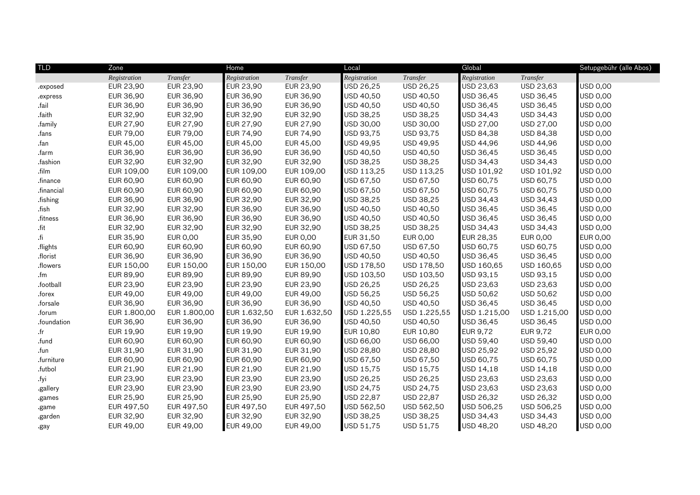| <b>TLD</b> | Zone         |              | Home              |              | Local        |                  | Global          |                  | Setupgebühr (alle Abos) |
|------------|--------------|--------------|-------------------|--------------|--------------|------------------|-----------------|------------------|-------------------------|
|            | Registration | Transfer     | Registration      | Transfer     | Registration | Transfer         | Registration    | Transfer         |                         |
| .exposed   | EUR 23,90    | EUR 23,90    | EUR 23,90         | EUR 23,90    | USD 26,25    | USD 26,25        | USD 23,63       | USD 23,63        | USD 0,00                |
| .express   | EUR 36,90    | EUR 36,90    | EUR 36,90         | EUR 36,90    | USD 40,50    | <b>USD 40,50</b> | USD 36,45       | USD 36,45        | USD 0,00                |
| .fail      | EUR 36,90    | EUR 36,90    | EUR 36,90         | EUR 36,90    | USD 40,50    | USD 40,50        | USD 36,45       | USD 36,45        | USD 0,00                |
| .faith     | EUR 32,90    | EUR 32,90    | <b>EUR 32,90</b>  | EUR 32,90    | USD 38,25    | USD 38,25        | USD 34,43       | USD 34,43        | USD 0,00                |
| .family    | EUR 27,90    | EUR 27,90    | <b>EUR 27,90</b>  | EUR 27,90    | USD 30,00    | USD 30,00        | USD 27,00       | USD 27,00        | USD 0,00                |
| .fans      | EUR 79,00    | EUR 79,00    | <b>EUR 74,90</b>  | EUR 74,90    | USD 93,75    | USD 93,75        | USD 84,38       | <b>USD 84,38</b> | USD 0,00                |
| .fan       | EUR 45,00    | EUR 45,00    | <b>EUR 45,00</b>  | EUR 45,00    | USD 49,95    | USD 49,95        | USD 44,96       | USD 44,96        | USD 0,00                |
| .farm      | EUR 36,90    | EUR 36,90    | <b>EUR 36,90</b>  | EUR 36,90    | USD 40,50    | USD 40,50        | USD 36,45       | USD 36,45        | USD 0,00                |
| .fashion   | EUR 32,90    | EUR 32,90    | EUR 32,90         | EUR 32,90    | USD 38,25    | USD 38,25        | USD 34,43       | USD 34,43        | USD 0,00                |
| .film      | EUR 109.00   | EUR 109,00   | <b>EUR 109.00</b> | EUR 109,00   | USD 113.25   | USD 113,25       | USD 101,92      | USD 101,92       | USD 0,00                |
| .finance   | EUR 60,90    | EUR 60,90    | EUR 60,90         | EUR 60,90    | USD 67,50    | USD 67,50        | USD 60,75       | USD 60,75        | USD 0,00                |
| financial  | EUR 60,90    | EUR 60,90    | <b>EUR 60,90</b>  | EUR 60,90    | USD 67,50    | USD 67,50        | USD 60,75       | USD 60,75        | USD 0,00                |
| .fishing   | EUR 36,90    | EUR 36,90    | EUR 32,90         | EUR 32,90    | USD 38,25    | USD 38,25        | USD 34,43       | USD 34,43        | USD 0,00                |
| .fish      | EUR 32,90    | EUR 32,90    | EUR 36,90         | EUR 36,90    | USD 40,50    | USD 40,50        | USD 36,45       | USD 36,45        | USD 0,00                |
| .fitness   | EUR 36,90    | EUR 36,90    | EUR 36,90         | EUR 36,90    | USD 40,50    | USD 40,50        | USD 36,45       | USD 36,45        | USD 0,00                |
| fit        | EUR 32,90    | EUR 32,90    | <b>EUR 32,90</b>  | EUR 32,90    | USD 38,25    | USD 38,25        | USD 34,43       | USD 34,43        | USD 0,00                |
| .fi        | EUR 35,90    | EUR 0,00     | EUR 35,90         | EUR 0,00     | EUR 31,50    | EUR 0,00         | EUR 28,35       | EUR 0,00         | <b>EUR 0,00</b>         |
| .flights   | EUR 60,90    | EUR 60,90    | EUR 60,90         | EUR 60,90    | USD 67,50    | USD 67,50        | USD 60,75       | USD 60,75        | USD 0,00                |
| .florist   | EUR 36,90    | EUR 36,90    | EUR 36,90         | EUR 36,90    | USD 40,50    | USD 40,50        | USD 36,45       | USD 36,45        | USD 0,00                |
| .flowers   | EUR 150,00   | EUR 150,00   | <b>EUR 150,00</b> | EUR 150,00   | USD 178,50   | USD 178,50       | USD 160,65      | USD 160,65       | USD 0,00                |
| .fm        | EUR 89,90    | EUR 89,90    | EUR 89,90         | EUR 89,90    | USD 103,50   | USD 103,50       | USD 93,15       | USD 93,15        | USD 0,00                |
| .football  | EUR 23,90    | EUR 23,90    | EUR 23,90         | EUR 23,90    | USD 26,25    | USD 26,25        | USD 23,63       | USD 23,63        | USD 0,00                |
| .forex     | EUR 49,00    | EUR 49,00    | EUR 49,00         | EUR 49,00    | USD 56,25    | USD 56,25        | USD 50,62       | USD 50,62        | USD 0,00                |
| .forsale   | EUR 36,90    | EUR 36,90    | <b>EUR 36,90</b>  | EUR 36,90    | USD 40,50    | USD 40,50        | USD 36,45       | USD 36,45        | USD 0,00                |
| .forum     | EUR 1.800,00 | EUR 1.800,00 | EUR 1.632,50      | EUR 1.632,50 | USD 1.225,55 | USD 1.225,55     | USD 1.215,00    | USD 1.215,00     | USD 0,00                |
| foundation | EUR 36,90    | EUR 36,90    | EUR 36,90         | EUR 36,90    | USD 40,50    | USD 40,50        | USD 36,45       | USD 36,45        | USD 0,00                |
| .fr        | EUR 19,90    | EUR 19,90    | EUR 19,90         | EUR 19,90    | EUR 10,80    | EUR 10,80        | <b>EUR 9,72</b> | <b>EUR 9,72</b>  | <b>EUR 0,00</b>         |
| .fund      | EUR 60,90    | EUR 60,90    | <b>EUR 60,90</b>  | EUR 60,90    | USD 66,00    | USD 66,00        | USD 59,40       | USD 59,40        | USD 0,00                |
| .fun       | EUR 31,90    | EUR 31,90    | EUR 31,90         | EUR 31,90    | USD 28,80    | USD 28,80        | USD 25,92       | USD 25,92        | USD 0,00                |
| .furniture | EUR 60,90    | EUR 60,90    | EUR 60,90         | EUR 60,90    | USD 67,50    | USD 67,50        | USD 60,75       | USD 60,75        | USD 0,00                |
| .futbol    | EUR 21,90    | EUR 21,90    | EUR 21,90         | EUR 21,90    | USD 15,75    | USD 15,75        | USD 14,18       | USD 14,18        | USD 0,00                |
| .fyi       | EUR 23,90    | EUR 23,90    | <b>EUR 23,90</b>  | EUR 23,90    | USD 26,25    | USD 26,25        | USD 23,63       | USD 23,63        | USD 0,00                |
| .gallery   | EUR 23,90    | EUR 23,90    | EUR 23,90         | EUR 23,90    | USD 24,75    | USD 24,75        | USD 23,63       | USD 23,63        | USD 0,00                |
| .games     | EUR 25,90    | EUR 25,90    | <b>EUR 25,90</b>  | EUR 25,90    | USD 22,87    | USD 22,87        | USD 26,32       | USD 26,32        | USD 0,00                |
| .game      | EUR 497,50   | EUR 497,50   | EUR 497,50        | EUR 497,50   | USD 562,50   | USD 562,50       | USD 506,25      | USD 506,25       | USD 0,00                |
| .garden    | EUR 32,90    | EUR 32,90    | <b>EUR 32,90</b>  | EUR 32,90    | USD 38,25    | USD 38,25        | USD 34,43       | USD 34,43        | USD 0,00                |
| .gay       | EUR 49,00    | EUR 49,00    | EUR 49,00         | EUR 49,00    | USD 51,75    | USD 51,75        | USD 48,20       | USD 48,20        | USD 0,00                |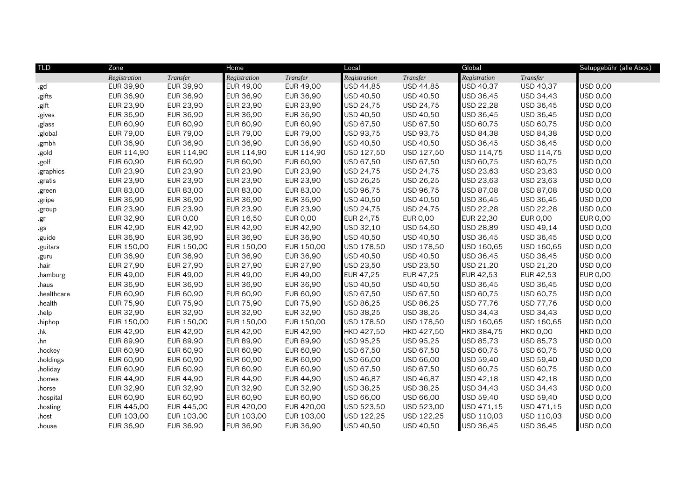| <b>TLD</b>  | Zone         |                 | Home             |            | Local        |            | Global       |                 | Setupgebühr (alle Abos) |
|-------------|--------------|-----------------|------------------|------------|--------------|------------|--------------|-----------------|-------------------------|
|             | Registration | Transfer        | Registration     | Transfer   | Registration | Transfer   | Registration | Transfer        |                         |
| .gd         | EUR 39,90    | EUR 39,90       | EUR 49,00        | EUR 49,00  | USD 44,85    | USD 44,85  | USD 40,37    | USD 40,37       | USD 0,00                |
| .gifts      | EUR 36,90    | EUR 36,90       | EUR 36,90        | EUR 36,90  | USD 40,50    | USD 40,50  | USD 36,45    | USD 34,43       | USD 0,00                |
| .gift       | EUR 23,90    | EUR 23,90       | EUR 23,90        | EUR 23,90  | USD 24,75    | USD 24,75  | USD 22,28    | USD 36,45       | USD 0,00                |
| .gives      | EUR 36,90    | EUR 36,90       | <b>EUR 36,90</b> | EUR 36,90  | USD 40,50    | USD 40,50  | USD 36,45    | USD 36,45       | <b>USD 0,00</b>         |
| .glass      | EUR 60,90    | EUR 60,90       | EUR 60,90        | EUR 60,90  | USD 67,50    | USD 67,50  | USD 60,75    | USD 60,75       | USD 0,00                |
| .global     | EUR 79,00    | EUR 79,00       | EUR 79,00        | EUR 79,00  | USD 93,75    | USD 93,75  | USD 84,38    | USD 84,38       | USD 0,00                |
| .gmbh       | EUR 36,90    | EUR 36,90       | EUR 36,90        | EUR 36,90  | USD 40,50    | USD 40,50  | USD 36,45    | USD 36,45       | USD 0,00                |
| .gold       | EUR 114,90   | EUR 114,90      | EUR 114,90       | EUR 114,90 | USD 127,50   | USD 127,50 | USD 114,75   | USD 114,75      | USD 0,00                |
| .golf       | EUR 60,90    | EUR 60,90       | EUR 60,90        | EUR 60,90  | USD 67,50    | USD 67,50  | USD 60,75    | USD 60,75       | USD 0,00                |
| .graphics   | EUR 23,90    | EUR 23,90       | EUR 23,90        | EUR 23,90  | USD 24,75    | USD 24,75  | USD 23,63    | USD 23,63       | USD 0,00                |
| .gratis     | EUR 23,90    | EUR 23,90       | EUR 23,90        | EUR 23,90  | USD 26,25    | USD 26,25  | USD 23,63    | USD 23,63       | USD 0,00                |
| .green      | EUR 83,00    | EUR 83,00       | EUR 83,00        | EUR 83,00  | USD 96,75    | USD 96,75  | USD 87,08    | USD 87,08       | USD 0,00                |
| .gripe      | EUR 36,90    | EUR 36,90       | EUR 36,90        | EUR 36,90  | USD 40,50    | USD 40,50  | USD 36,45    | USD 36,45       | USD 0,00                |
| .group      | EUR 23,90    | EUR 23,90       | EUR 23,90        | EUR 23,90  | USD 24,75    | USD 24,75  | USD 22,28    | USD 22,28       | USD 0,00                |
| .gr         | EUR 32,90    | <b>EUR 0,00</b> | <b>EUR 16,50</b> | EUR 0,00   | EUR 24,75    | EUR 0,00   | EUR 22,30    | EUR 0,00        | <b>EUR 0,00</b>         |
| .gs         | EUR 42,90    | EUR 42,90       | <b>EUR 42,90</b> | EUR 42,90  | USD 32,10    | USD 54,60  | USD 28,89    | USD 49,14       | USD 0,00                |
| .guide      | EUR 36,90    | EUR 36,90       | EUR 36,90        | EUR 36,90  | USD 40,50    | USD 40,50  | USD 36,45    | USD 36,45       | USD 0,00                |
| .guitars    | EUR 150,00   | EUR 150,00      | EUR 150,00       | EUR 150,00 | USD 178,50   | USD 178,50 | USD 160,65   | USD 160,65      | USD 0,00                |
| .guru       | EUR 36,90    | EUR 36,90       | EUR 36,90        | EUR 36,90  | USD 40,50    | USD 40,50  | USD 36,45    | USD 36,45       | USD 0,00                |
| .hair       | EUR 27,90    | EUR 27,90       | <b>EUR 27,90</b> | EUR 27,90  | USD 23,50    | USD 23,50  | USD 21,20    | USD 21,20       | USD 0,00                |
| .hamburg    | EUR 49,00    | EUR 49,00       | EUR 49,00        | EUR 49,00  | EUR 47,25    | EUR 47,25  | EUR 42,53    | EUR 42,53       | <b>EUR 0,00</b>         |
| .haus       | EUR 36,90    | EUR 36,90       | <b>EUR 36,90</b> | EUR 36,90  | USD 40,50    | USD 40,50  | USD 36,45    | USD 36,45       | USD 0,00                |
| .healthcare | EUR 60,90    | EUR 60,90       | EUR 60,90        | EUR 60,90  | USD 67,50    | USD 67,50  | USD 60,75    | USD 60,75       | USD 0,00                |
| .health     | EUR 75,90    | EUR 75,90       | <b>EUR 75,90</b> | EUR 75,90  | USD 86,25    | USD 86,25  | USD 77,76    | USD 77,76       | USD 0,00                |
| .help       | EUR 32,90    | EUR 32,90       | EUR 32,90        | EUR 32,90  | USD 38,25    | USD 38,25  | USD 34,43    | USD 34,43       | <b>USD 0,00</b>         |
| .hiphop     | EUR 150,00   | EUR 150,00      | EUR 150,00       | EUR 150,00 | USD 178,50   | USD 178,50 | USD 160,65   | USD 160,65      | USD 0,00                |
| h           | EUR 42,90    | EUR 42,90       | <b>EUR 42,90</b> | EUR 42,90  | HKD 427,50   | HKD 427,50 | HKD 384,75   | <b>HKD 0,00</b> | <b>HKD 0,00</b>         |
| .hn         | EUR 89,90    | EUR 89,90       | EUR 89,90        | EUR 89,90  | USD 95,25    | USD 95,25  | USD 85,73    | USD 85,73       | USD 0,00                |
| .hockey     | EUR 60,90    | EUR 60,90       | EUR 60,90        | EUR 60,90  | USD 67,50    | USD 67,50  | USD 60,75    | USD 60,75       | USD 0,00                |
| .holdings   | EUR 60,90    | EUR 60,90       | EUR 60,90        | EUR 60,90  | USD 66,00    | USD 66,00  | USD 59,40    | USD 59,40       | <b>USD 0,00</b>         |
| .holiday    | EUR 60,90    | EUR 60,90       | EUR 60,90        | EUR 60,90  | USD 67,50    | USD 67,50  | USD 60,75    | USD 60,75       | USD 0,00                |
| .homes      | EUR 44,90    | EUR 44,90       | EUR 44,90        | EUR 44,90  | USD 46,87    | USD 46,87  | USD 42,18    | USD 42,18       | USD 0,00                |
| .horse      | EUR 32,90    | EUR 32,90       | EUR 32,90        | EUR 32,90  | USD 38,25    | USD 38,25  | USD 34,43    | USD 34,43       | USD 0,00                |
| .hospital   | EUR 60,90    | EUR 60,90       | EUR 60,90        | EUR 60,90  | USD 66,00    | USD 66,00  | USD 59,40    | USD 59,40       | USD 0,00                |
| .hosting    | EUR 445,00   | EUR 445,00      | EUR 420,00       | EUR 420,00 | USD 523,50   | USD 523,00 | USD 471,15   | USD 471,15      | USD 0,00                |
| .host       | EUR 103,00   | EUR 103,00      | EUR 103,00       | EUR 103,00 | USD 122,25   | USD 122,25 | USD 110,03   | USD 110,03      | USD 0,00                |
| .house      | EUR 36,90    | EUR 36,90       | EUR 36,90        | EUR 36,90  | USD 40,50    | USD 40,50  | USD 36,45    | USD 36,45       | <b>USD 0,00</b>         |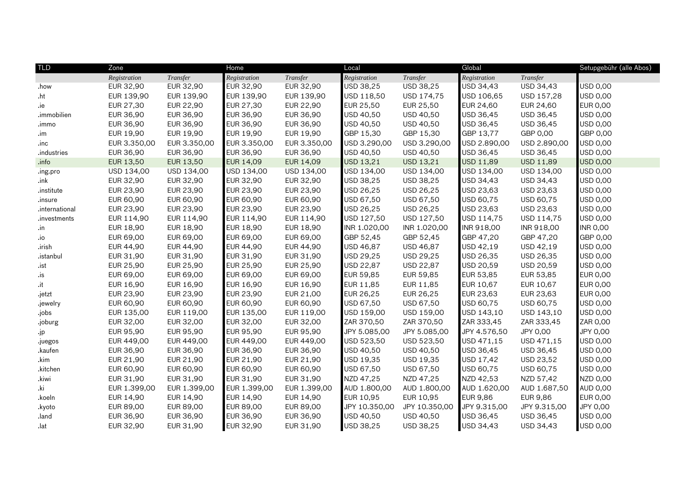| <b>TLD</b>     | Zone         |              | Home              |                  | Local            |               | Global           |                 | Setupgebühr (alle Abos) |
|----------------|--------------|--------------|-------------------|------------------|------------------|---------------|------------------|-----------------|-------------------------|
|                | Registration | Transfer     | Registration      | Transfer         | Registration     | Transfer      | Registration     | Transfer        |                         |
| .how           | EUR 32,90    | EUR 32,90    | EUR 32,90         | EUR 32,90        | USD 38,25        | USD 38,25     | USD 34,43        | USD 34,43       | USD 0,00                |
| .ht            | EUR 139,90   | EUR 139,90   | EUR 139,90        | EUR 139,90       | USD 118,50       | USD 174,75    | USD 106,65       | USD 157,28      | USD 0,00                |
| .ie            | EUR 27,30    | EUR 22,90    | EUR 27,30         | EUR 22,90        | EUR 25,50        | EUR 25,50     | <b>EUR 24,60</b> | EUR 24,60       | <b>EUR 0,00</b>         |
| .immobilien    | EUR 36,90    | EUR 36,90    | <b>EUR 36,90</b>  | EUR 36,90        | USD 40,50        | USD 40,50     | USD 36,45        | USD 36,45       | <b>USD 0,00</b>         |
| .immo          | EUR 36,90    | EUR 36,90    | EUR 36,90         | EUR 36,90        | USD 40,50        | USD 40,50     | USD 36,45        | USD 36,45       | USD 0,00                |
| $\mathsf{Im}$  | EUR 19,90    | EUR 19,90    | EUR 19,90         | EUR 19,90        | GBP 15,30        | GBP 15,30     | GBP 13,77        | GBP 0,00        | GBP 0,00                |
| inc            | EUR 3.350,00 | EUR 3.350,00 | EUR 3.350,00      | EUR 3.350,00     | USD 3.290,00     | USD 3.290,00  | USD 2.890,00     | USD 2.890,00    | <b>USD 0,00</b>         |
| .industries    | EUR 36,90    | EUR 36,90    | <b>EUR 36,90</b>  | EUR 36,90        | USD 40,50        | USD 40,50     | USD 36,45        | USD 36,45       | <b>USD 0,00</b>         |
| .info          | EUR 13,50    | EUR 13,50    | <b>EUR 14,09</b>  | <b>EUR 14,09</b> | USD 13,21        | USD 13,21     | USD 11,89        | USD 11,89       | <b>USD 0,00</b>         |
| .ing.pro       | USD 134,00   | USD 134,00   | USD 134,00        | USD 134,00       | USD 134,00       | USD 134,00    | USD 134,00       | USD 134,00      | <b>USD 0,00</b>         |
| $.$ ink        | EUR 32,90    | EUR 32,90    | EUR 32,90         | EUR 32,90        | USD 38,25        | USD 38,25     | USD 34,43        | USD 34,43       | <b>USD 0,00</b>         |
| .institute     | EUR 23,90    | EUR 23,90    | EUR 23,90         | EUR 23,90        | USD 26,25        | USD 26,25     | USD 23,63        | USD 23,63       | <b>USD 0,00</b>         |
| .insure        | EUR 60,90    | EUR 60,90    | EUR 60,90         | EUR 60,90        | USD 67,50        | USD 67,50     | USD 60,75        | USD 60,75       | USD 0,00                |
| .international | EUR 23,90    | EUR 23,90    | <b>EUR 23,90</b>  | EUR 23,90        | USD 26,25        | USD 26,25     | USD 23,63        | USD 23,63       | USD 0,00                |
| .investments   | EUR 114,90   | EUR 114,90   | EUR 114,90        | EUR 114,90       | USD 127,50       | USD 127,50    | USD 114,75       | USD 114,75      | <b>USD 0,00</b>         |
| $\cdot$ in     | EUR 18,90    | EUR 18,90    | <b>EUR 18,90</b>  | EUR 18,90        | INR 1.020,00     | INR 1.020,00  | INR 918,00       | INR 918,00      | <b>INR 0,00</b>         |
| $\dot{0}$ .    | EUR 69,00    | EUR 69,00    | EUR 69,00         | EUR 69,00        | GBP 52,45        | GBP 52,45     | GBP 47,20        | GBP 47,20       | GBP 0,00                |
| .irish         | EUR 44,90    | EUR 44,90    | <b>EUR 44,90</b>  | EUR 44,90        | USD 46,87        | USD 46,87     | USD 42,19        | USD 42,19       | USD 0,00                |
| .istanbul      | EUR 31,90    | EUR 31,90    | EUR 31,90         | EUR 31,90        | USD 29,25        | USD 29,25     | USD 26,35        | USD 26,35       | USD 0,00                |
| .ist           | EUR 25,90    | EUR 25,90    | EUR 25,90         | EUR 25,90        | USD 22,87        | USD 22,87     | USD 20,59        | USD 20,59       | <b>USD 0,00</b>         |
| .is            | EUR 69,00    | EUR 69,00    | <b>EUR 69,00</b>  | EUR 69,00        | <b>EUR 59,85</b> | EUR 59,85     | <b>EUR 53,85</b> | EUR 53,85       | <b>EUR 0,00</b>         |
| $\cdot$ it     | EUR 16,90    | EUR 16,90    | <b>EUR 16,90</b>  | EUR 16,90        | EUR 11,85        | EUR 11,85     | EUR 10,67        | EUR 10,67       | <b>EUR 0,00</b>         |
| .jetzt         | EUR 23,90    | EUR 23,90    | <b>EUR 23,90</b>  | EUR 21,00        | EUR 26,25        | EUR 26,25     | EUR 23,63        | EUR 23,63       | <b>EUR 0,00</b>         |
| .jewelry       | EUR 60,90    | EUR 60,90    | <b>EUR 60,90</b>  | EUR 60,90        | USD 67,50        | USD 67,50     | USD 60,75        | USD 60,75       | <b>USD 0,00</b>         |
| .jobs          | EUR 135,00   | EUR 119,00   | EUR 135,00        | EUR 119,00       | USD 159,00       | USD 159,00    | USD 143,10       | USD 143,10      | USD 0,00                |
| .joburg        | EUR 32,00    | EUR 32,00    | EUR 32,00         | EUR 32,00        | ZAR 370,50       | ZAR 370,50    | ZAR 333,45       | ZAR 333,45      | ZAR 0,00                |
| $\mathsf{ip}$  | EUR 95,90    | EUR 95,90    | <b>EUR 95,90</b>  | EUR 95,90        | JPY 5.085,00     | JPY 5.085,00  | JPY 4.576,50     | JPY 0,00        | JPY 0,00                |
| .juegos        | EUR 449,00   | EUR 449,00   | <b>EUR 449,00</b> | EUR 449,00       | USD 523,50       | USD 523,50    | USD 471,15       | USD 471,15      | <b>USD 0,00</b>         |
| .kaufen        | EUR 36,90    | EUR 36,90    | <b>EUR 36,90</b>  | EUR 36,90        | USD 40,50        | USD 40,50     | USD 36,45        | USD 36,45       | USD 0,00                |
| .kim           | EUR 21,90    | EUR 21,90    | EUR 21,90         | EUR 21,90        | USD 19,35        | USD 19,35     | USD 17,42        | USD 23,52       | USD 0,00                |
| kitchen        | EUR 60,90    | EUR 60,90    | <b>EUR 60,90</b>  | EUR 60,90        | USD 67,50        | USD 67,50     | USD 60,75        | USD 60,75       | <b>USD 0,00</b>         |
| .kiwi          | EUR 31,90    | EUR 31,90    | <b>EUR 31,90</b>  | EUR 31,90        | NZD 47,25        | NZD 47,25     | NZD 42,53        | NZD 57,42       | NZD 0,00                |
| .ki            | EUR 1.399,00 | EUR 1.399,00 | EUR 1.399,00      | EUR 1.399,00     | AUD 1.800,00     | AUD 1.800,00  | AUD 1.620,00     | AUD 1.687,50    | <b>AUD 0,00</b>         |
| .koeln         | EUR 14,90    | EUR 14,90    | <b>EUR 14,90</b>  | EUR 14,90        | EUR 10,95        | EUR 10,95     | <b>EUR 9,86</b>  | <b>EUR 9,86</b> | <b>EUR 0,00</b>         |
| .kyoto         | EUR 89,00    | EUR 89,00    | <b>EUR 89,00</b>  | EUR 89,00        | JPY 10.350,00    | JPY 10.350,00 | JPY 9.315,00     | JPY 9.315,00    | JPY 0,00                |
| .land          | EUR 36,90    | EUR 36,90    | <b>EUR 36,90</b>  | EUR 36,90        | USD 40,50        | USD 40,50     | USD 36,45        | USD 36,45       | USD 0,00                |
| .lat           | EUR 32,90    | EUR 31,90    | <b>EUR 32,90</b>  | EUR 31,90        | USD 38,25        | USD 38,25     | USD 34,43        | USD 34,43       | USD 0,00                |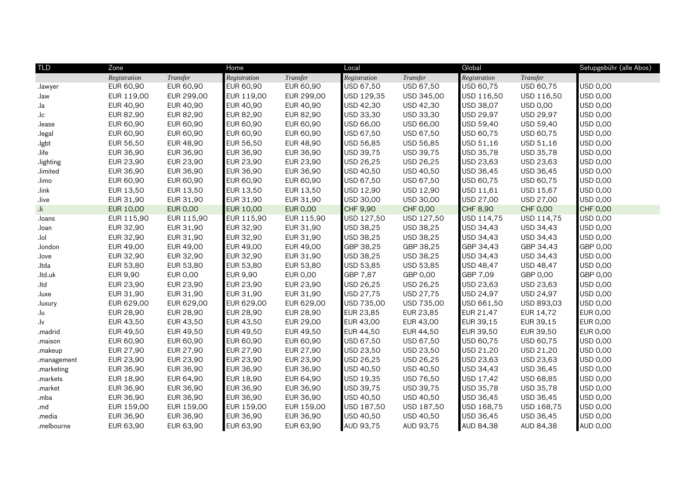| <b>TLD</b>             | Zone         |                 | Home             |                 | Local        |                 | Global           |                 | Setupgebühr (alle Abos) |
|------------------------|--------------|-----------------|------------------|-----------------|--------------|-----------------|------------------|-----------------|-------------------------|
|                        | Registration | Transfer        | Registration     | Transfer        | Registration | Transfer        | Registration     | Transfer        |                         |
| .lawyer                | EUR 60,90    | EUR 60,90       | EUR 60,90        | EUR 60,90       | USD 67,50    | USD 67,50       | USD 60,75        | USD 60,75       | <b>USD 0,00</b>         |
| .law                   | EUR 119,00   | EUR 299,00      | EUR 119,00       | EUR 299,00      | USD 129,35   | USD 345,00      | USD 116,50       | USD 116,50      | <b>USD 0,00</b>         |
| .la                    | EUR 40,90    | EUR 40,90       | EUR 40,90        | EUR 40,90       | USD 42,30    | USD 42,30       | USD 38,07        | USD 0,00        | <b>USD 0,00</b>         |
| $\mathsf{I}\mathsf{c}$ | EUR 82,90    | EUR 82,90       | <b>EUR 82,90</b> | EUR 82,90       | USD 33,30    | USD 33,30       | USD 29,97        | USD 29,97       | <b>USD 0,00</b>         |
| .lease                 | EUR 60,90    | EUR 60,90       | <b>EUR 60,90</b> | EUR 60,90       | USD 66,00    | USD 66,00       | USD 59,40        | USD 59,40       | <b>USD 0,00</b>         |
| legal.                 | EUR 60,90    | EUR 60,90       | <b>EUR 60,90</b> | EUR 60,90       | USD 67,50    | USD 67,50       | USD 60,75        | USD 60,75       | <b>USD 0,00</b>         |
| .lgbt                  | EUR 56,50    | EUR 48,90       | <b>EUR 56,50</b> | EUR 48,90       | USD 56,85    | USD 56,85       | USD 51,16        | USD 51,16       | <b>USD 0,00</b>         |
| .life                  | EUR 36,90    | EUR 36,90       | <b>EUR 36,90</b> | EUR 36,90       | USD 39,75    | USD 39,75       | USD 35,78        | USD 35,78       | USD 0,00                |
| .lighting              | EUR 23,90    | EUR 23,90       | <b>EUR 23,90</b> | EUR 23,90       | USD 26,25    | USD 26,25       | USD 23,63        | USD 23,63       | USD 0,00                |
| .limited               | EUR 36,90    | EUR 36,90       | EUR 36,90        | EUR 36,90       | USD 40,50    | USD 40,50       | USD 36,45        | USD 36,45       | <b>USD 0,00</b>         |
| .limo                  | EUR 60,90    | EUR 60,90       | <b>EUR 60,90</b> | EUR 60,90       | USD 67,50    | USD 67,50       | USD 60,75        | USD 60,75       | <b>USD 0,00</b>         |
| .link                  | EUR 13,50    | EUR 13,50       | <b>EUR 13,50</b> | EUR 13,50       | USD 12,90    | USD 12,90       | USD 11,61        | USD 15,67       | USD 0,00                |
| .live                  | EUR 31,90    | EUR 31,90       | EUR 31,90        | EUR 31,90       | USD 30,00    | USD 30,00       | USD 27,00        | USD 27,00       | USD 0,00                |
| il.                    | EUR 10,00    | <b>EUR 0,00</b> | <b>EUR 10,00</b> | <b>EUR 0,00</b> | CHF 9,90     | <b>CHF 0,00</b> | CHF 8,90         | <b>CHF 0,00</b> | <b>CHF 0,00</b>         |
| .loans                 | EUR 115,90   | EUR 115,90      | EUR 115,90       | EUR 115,90      | USD 127,50   | USD 127,50      | USD 114,75       | USD 114,75      | USD 0,00                |
| .loan                  | EUR 32,90    | EUR 31,90       | EUR 32,90        | EUR 31,90       | USD 38,25    | USD 38,25       | USD 34,43        | USD 34,43       | <b>USD 0,00</b>         |
| .lol                   | EUR 32,90    | EUR 31,90       | EUR 32,90        | EUR 31,90       | USD 38,25    | USD 38,25       | USD 34,43        | USD 34,43       | USD 0,00                |
| .london                | EUR 49,00    | EUR 49,00       | <b>EUR 49,00</b> | EUR 49,00       | GBP 38,25    | GBP 38,25       | GBP 34,43        | GBP 34,43       | GBP 0,00                |
| .love                  | EUR 32,90    | EUR 32,90       | EUR 32,90        | EUR 31,90       | USD 38,25    | USD 38,25       | USD 34,43        | USD 34,43       | <b>USD 0,00</b>         |
| .ltda                  | EUR 53,80    | EUR 53,80       | EUR 53,80        | EUR 53,80       | USD 53,85    | USD 53,85       | <b>USD 48,47</b> | USD 48,47       | <b>USD 0,00</b>         |
| .ltd.uk                | EUR 9,90     | EUR 0,00        | <b>EUR 9,90</b>  | EUR 0,00        | GBP 7,87     | GBP 0,00        | GBP 7,09         | GBP 0,00        | GBP 0,00                |
| .ltd                   | EUR 23,90    | EUR 23,90       | EUR 23,90        | EUR 23,90       | USD 26,25    | USD 26,25       | USD 23,63        | USD 23,63       | <b>USD 0,00</b>         |
| .luxe                  | EUR 31,90    | EUR 31,90       | EUR 31,90        | EUR 31,90       | USD 27,75    | USD 27,75       | USD 24,97        | USD 24,97       | USD 0,00                |
| .luxury                | EUR 629,00   | EUR 629,00      | EUR 629,00       | EUR 629,00      | USD 735,00   | USD 735,00      | USD 661,50       | USD 893,03      | <b>USD 0,00</b>         |
| .lu                    | EUR 28,90    | EUR 28,90       | <b>EUR 28,90</b> | EUR 28,90       | EUR 23,85    | EUR 23,85       | EUR 21,47        | EUR 14,72       | <b>EUR 0,00</b>         |
| .lv                    | EUR 43,50    | EUR 43,50       | EUR 43,50        | EUR 29,00       | EUR 43,00    | EUR 43,00       | EUR 39,15        | EUR 39,15       | <b>EUR 0,00</b>         |
| .madrid                | EUR 49,50    | EUR 49,50       | EUR 49,50        | EUR 49,50       | EUR 44,50    | EUR 44,50       | EUR 39,50        | EUR 39,50       | <b>EUR 0,00</b>         |
| .maison                | EUR 60,90    | EUR 60,90       | EUR 60,90        | EUR 60,90       | USD 67,50    | USD 67,50       | USD 60,75        | USD 60,75       | USD 0,00                |
| .makeup                | EUR 27,90    | EUR 27,90       | <b>EUR 27,90</b> | EUR 27,90       | USD 23,50    | USD 23,50       | USD 21,20        | USD 21,20       | <b>USD 0,00</b>         |
| .management            | EUR 23,90    | EUR 23,90       | EUR 23,90        | EUR 23,90       | USD 26,25    | USD 26,25       | USD 23,63        | USD 23,63       | USD 0,00                |
| .marketing             | EUR 36,90    | EUR 36,90       | <b>EUR 36,90</b> | EUR 36,90       | USD 40,50    | USD 40,50       | USD 34,43        | USD 36,45       | <b>USD 0,00</b>         |
| .markets               | EUR 18,90    | EUR 64,90       | <b>EUR 18,90</b> | EUR 64,90       | USD 19,35    | USD 76,50       | USD 17,42        | USD 68,85       | <b>USD 0,00</b>         |
| .market                | EUR 36,90    | EUR 36,90       | <b>EUR 36,90</b> | EUR 36,90       | USD 39,75    | USD 39,75       | USD 35,78        | USD 35,78       | USD 0,00                |
| .mba                   | EUR 36,90    | EUR 36,90       | <b>EUR 36,90</b> | EUR 36,90       | USD 40,50    | USD 40,50       | USD 36,45        | USD 36,45       | <b>USD 0,00</b>         |
| .md                    | EUR 159,00   | EUR 159,00      | EUR 159,00       | EUR 159,00      | USD 187,50   | USD 187,50      | USD 168,75       | USD 168,75      | <b>USD 0,00</b>         |
| .media                 | EUR 36,90    | EUR 36,90       | EUR 36,90        | EUR 36,90       | USD 40,50    | USD 40,50       | USD 36,45        | USD 36,45       | USD 0,00                |
|                        | EUR 63,90    | EUR 63,90       | EUR 63,90        | EUR 63,90       | AUD 93,75    | AUD 93,75       | <b>AUD 84,38</b> | AUD 84,38       | <b>AUD 0,00</b>         |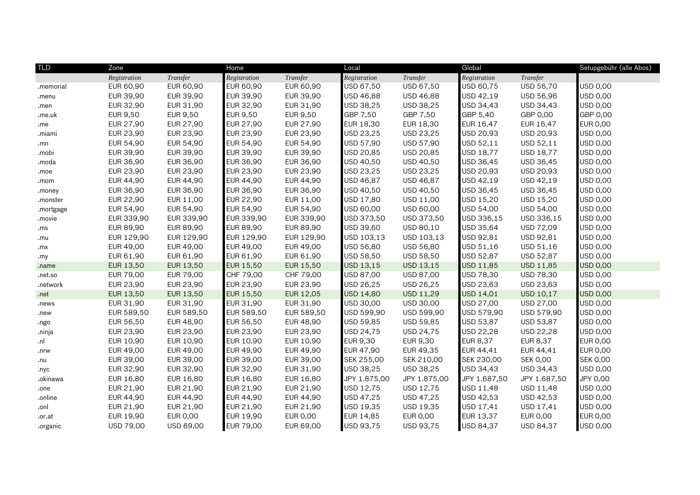| <b>TLD</b> | Zone             |            | Home             |            | Local           |              | Global           |                  | Setupgebühr (alle Abos) |
|------------|------------------|------------|------------------|------------|-----------------|--------------|------------------|------------------|-------------------------|
|            | Registration     | Transfer   | Registration     | Transfer   | Registration    | Transfer     | Registration     | Transfer         |                         |
| memorial.  | EUR 60,90        | EUR 60,90  | EUR 60,90        | EUR 60,90  | USD 67,50       | USD 67,50    | USD 60,75        | USD 56,70        | USD 0,00                |
| .menu      | EUR 39,90        | EUR 39,90  | EUR 39,90        | EUR 39,90  | USD 46,88       | USD 46,88    | USD 42,19        | USD 56,96        | USD 0,00                |
| .men       | EUR 32,90        | EUR 31,90  | EUR 32,90        | EUR 31,90  | USD 38,25       | USD 38,25    | USD 34,43        | USD 34,43        | <b>USD 0,00</b>         |
| .me.uk     | EUR 9,50         | EUR 9,50   | <b>EUR 9,50</b>  | EUR 9,50   | GBP 7,50        | GBP 7,50     | GBP 5,40         | GBP 0,00         | GBP 0,00                |
| .me        | EUR 27,90        | EUR 27,90  | EUR 27,90        | EUR 27,90  | EUR 18,30       | EUR 18,30    | EUR 16,47        | EUR 16,47        | EUR 0,00                |
| .miami     | EUR 23,90        | EUR 23,90  | EUR 23,90        | EUR 23,90  | USD 23,25       | USD 23,25    | USD 20,93        | USD 20,93        | USD 0,00                |
| .mn        | EUR 54,90        | EUR 54,90  | <b>EUR 54,90</b> | EUR 54,90  | USD 57,90       | USD 57,90    | USD 52,11        | USD 52,11        | USD 0,00                |
| .mobi      | EUR 39,90        | EUR 39,90  | EUR 39,90        | EUR 39,90  | USD 20,85       | USD 20,85    | USD 18,77        | <b>USD 18,77</b> | USD 0,00                |
| .moda      | EUR 36,90        | EUR 36,90  | <b>EUR 36,90</b> | EUR 36,90  | USD 40,50       | USD 40,50    | USD 36,45        | USD 36,45        | USD 0,00                |
| .moe       | EUR 23,90        | EUR 23,90  | EUR 23,90        | EUR 23,90  | USD 23,25       | USD 23,25    | USD 20,93        | USD 20,93        | USD 0,00                |
| .mom       | EUR 44,90        | EUR 44,90  | <b>EUR 44,90</b> | EUR 44,90  | USD 46,87       | USD 46,87    | USD 42,19        | USD 42,19        | USD 0,00                |
| .money     | EUR 36,90        | EUR 36,90  | <b>EUR 36,90</b> | EUR 36,90  | USD 40,50       | USD 40,50    | USD 36,45        | USD 36,45        | USD 0,00                |
| .monster   | EUR 22,90        | EUR 11,00  | <b>EUR 22,90</b> | EUR 11,00  | USD 17,80       | USD 11,00    | USD 15,20        | USD 15,20        | USD 0,00                |
| .mortgage  | EUR 54,90        | EUR 54,90  | EUR 54,90        | EUR 54,90  | USD 60,00       | USD 60,00    | USD 54,00        | USD 54,00        | USD 0,00                |
| .movie     | EUR 339,90       | EUR 339,90 | EUR 339,90       | EUR 339,90 | USD 373,50      | USD 373,50   | USD 336,15       | USD 336,15       | USD 0,00                |
| .ms        | EUR 89,90        | EUR 89,90  | <b>EUR 89,90</b> | EUR 89,90  | USD 39,60       | USD 80,10    | USD 35,64        | USD 72,09        | USD 0,00                |
| .mu        | EUR 129,90       | EUR 129,90 | EUR 129,90       | EUR 129,90 | USD 103,13      | USD 103,13   | USD 92,81        | USD 92,81        | USD 0,00                |
| .mx        | EUR 49,00        | EUR 49,00  | EUR 49,00        | EUR 49,00  | USD 56,80       | USD 56,80    | USD 51,16        | USD 51,16        | USD 0,00                |
| .my        | EUR 61,90        | EUR 61,90  | EUR 61,90        | EUR 61,90  | USD 58,50       | USD 58,50    | USD 52,87        | USD 52,87        | USD 0,00                |
| .name      | EUR 13,50        | EUR 13,50  | <b>EUR 15,50</b> | EUR 15,50  | USD 13,15       | USD 13,15    | USD 11,85        | <b>USD 11,85</b> | <b>USD 0,00</b>         |
| .net.so    | EUR 79,00        | EUR 79,00  | CHF 79,00        | CHF 79,00  | USD 87,00       | USD 87,00    | USD 78,30        | USD 78,30        | <b>USD 0,00</b>         |
| .network   | EUR 23,90        | EUR 23,90  | <b>EUR 23,90</b> | EUR 23,90  | USD 26,25       | USD 26,25    | USD 23,63        | USD 23,63        | <b>USD 0,00</b>         |
| .net       | EUR 13,50        | EUR 13,50  | <b>EUR 15,50</b> | EUR 12,05  | USD 14,80       | USD 11,29    | USD 14,01        | <b>USD 10,17</b> | <b>USD 0,00</b>         |
| .news      | EUR 31,90        | EUR 31,90  | <b>EUR 31,90</b> | EUR 31,90  | USD 30,00       | USD 30,00    | USD 27,00        | USD 27,00        | USD 0,00                |
| new        | EUR 589,50       | EUR 589,50 | EUR 589,50       | EUR 589,50 | USD 599,90      | USD 599,90   | USD 579,90       | USD 579,90       | <b>USD 0,00</b>         |
| .ngo       | EUR 56,50        | EUR 48,90  | EUR 56,50        | EUR 48,90  | USD 59,85       | USD 59,85    | USD 53,87        | USD 53,87        | USD 0,00                |
| .ninja     | EUR 23,90        | EUR 23,90  | <b>EUR 23,90</b> | EUR 23,90  | USD 24,75       | USD 24,75    | USD 22,28        | USD 22,28        | USD 0,00                |
| .nl        | EUR 10,90        | EUR 10,90  | EUR 10,90        | EUR 10,90  | <b>EUR 9,30</b> | EUR 9,30     | <b>EUR 8,37</b>  | EUR 8,37         | EUR 0,00                |
| .nrw       | EUR 49,00        | EUR 49,00  | <b>EUR 49,90</b> | EUR 49,90  | EUR 47,90       | EUR 49,35    | EUR 44,41        | EUR 44,41        | <b>EUR 0,00</b>         |
| .nu        | EUR 39,00        | EUR 39,00  | <b>EUR 39,00</b> | EUR 39,00  | SEK 255,00      | SEK 210,00   | SEK 230,00       | <b>SEK 0,00</b>  | <b>SEK 0,00</b>         |
| .nyc       | EUR 32,90        | EUR 32,90  | EUR 32,90        | EUR 31,90  | USD 38.25       | USD 38,25    | USD 34,43        | USD 34,43        | <b>USD 0,00</b>         |
| .okinawa   | EUR 16,80        | EUR 16,80  | EUR 16,80        | EUR 16,80  | JPY 1.875,00    | JPY 1.875,00 | JPY 1.687,50     | JPY 1.687,50     | JPY 0,00                |
| .one       | EUR 21,90        | EUR 21,90  | EUR 21,90        | EUR 21,90  | USD 12,75       | USD 12,75    | USD 11,48        | USD 11,48        | USD 0,00                |
| .online    | EUR 44,90        | EUR 44,90  | EUR 44,90        | EUR 44,90  | USD 47,25       | USD 47,25    | USD 42,53        | USD 42,53        | USD 0,00                |
| .onl       | EUR 21,90        | EUR 21,90  | EUR 21,90        | EUR 21,90  | USD 19,35       | USD 19,35    | USD 17,41        | USD 17,41        | USD 0,00                |
| .or.at     | EUR 19,90        | EUR 0,00   | <b>EUR 19,90</b> | EUR 0,00   | EUR 14,85       | EUR 0,00     | EUR 13,37        | EUR 0,00         | <b>EUR 0,00</b>         |
| .organic   | <b>USD 79,00</b> | USD 69,00  | <b>EUR 79,00</b> | EUR 69,00  | USD 93,75       | USD 93,75    | <b>USD 84,37</b> | <b>USD 84,37</b> | <b>USD 0,00</b>         |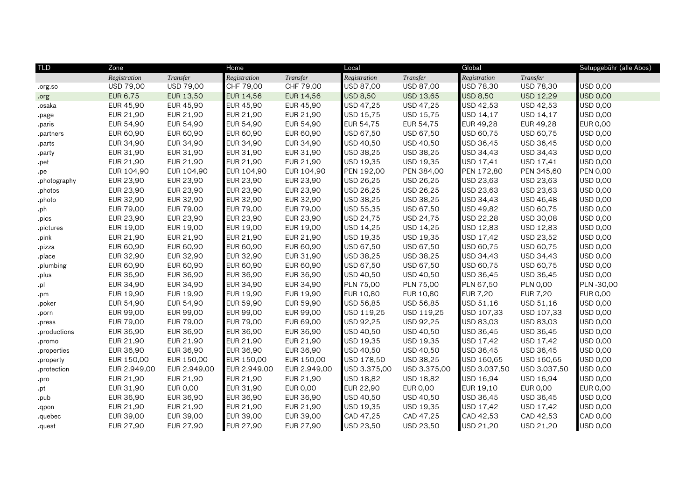| <b>TLD</b>   | Zone         |                 | Home             |                  | Local            |                 | Global           |                  | Setupgebühr (alle Abos) |
|--------------|--------------|-----------------|------------------|------------------|------------------|-----------------|------------------|------------------|-------------------------|
|              | Registration | Transfer        | Registration     | Transfer         | Registration     | Transfer        | Registration     | Transfer         |                         |
| .org.so      | USD 79,00    | USD 79,00       | CHF 79,00        | CHF 79,00        | USD 87,00        | USD 87,00       | USD 78,30        | USD 78,30        | USD 0,00                |
| .org         | EUR 6,75     | EUR 13,50       | EUR 14,56        | EUR 14,56        | <b>USD 8,50</b>  | USD 13,65       | <b>USD 8,50</b>  | <b>USD 12,29</b> | <b>USD 0,00</b>         |
| .osaka       | EUR 45,90    | EUR 45,90       | <b>EUR 45,90</b> | <b>EUR 45,90</b> | USD 47,25        | USD 47,25       | USD 42,53        | USD 42,53        | <b>USD 0,00</b>         |
| .page        | EUR 21,90    | EUR 21,90       | <b>EUR 21,90</b> | EUR 21,90        | USD 15,75        | USD 15,75       | USD 14,17        | USD 14,17        | <b>USD 0,00</b>         |
| .paris       | EUR 54,90    | EUR 54,90       | EUR 54,90        | EUR 54,90        | EUR 54,75        | EUR 54,75       | EUR 49,28        | EUR 49,28        | <b>EUR 0,00</b>         |
| .partners    | EUR 60,90    | EUR 60,90       | EUR 60,90        | EUR 60,90        | USD 67,50        | USD 67,50       | USD 60,75        | USD 60,75        | <b>USD 0,00</b>         |
| .parts       | EUR 34,90    | EUR 34,90       | <b>EUR 34,90</b> | EUR 34,90        | USD 40,50        | USD 40,50       | USD 36,45        | USD 36,45        | USD 0,00                |
| .party       | EUR 31,90    | EUR 31,90       | <b>EUR 31,90</b> | EUR 31,90        | USD 38,25        | USD 38,25       | USD 34,43        | USD 34,43        | <b>USD 0,00</b>         |
| .pet         | EUR 21,90    | EUR 21,90       | <b>EUR 21,90</b> | EUR 21,90        | USD 19,35        | USD 19,35       | USD 17,41        | USD 17,41        | <b>USD 0,00</b>         |
| .pe          | EUR 104,90   | EUR 104,90      | EUR 104,90       | EUR 104,90       | PEN 192,00       | PEN 384,00      | PEN 172,80       | PEN 345,60       | <b>PEN 0,00</b>         |
| .photography | EUR 23,90    | EUR 23,90       | EUR 23,90        | EUR 23,90        | USD 26,25        | USD 26,25       | USD 23,63        | USD 23,63        | <b>USD 0,00</b>         |
| .photos      | EUR 23,90    | EUR 23,90       | <b>EUR 23,90</b> | EUR 23,90        | USD 26,25        | USD 26,25       | USD 23,63        | USD 23,63        | <b>USD 0,00</b>         |
| .photo       | EUR 32,90    | EUR 32,90       | EUR 32,90        | EUR 32,90        | USD 38,25        | USD 38,25       | USD 34,43        | USD 46,48        | USD 0,00                |
| .ph          | EUR 79,00    | EUR 79,00       | EUR 79,00        | EUR 79,00        | USD 55,35        | USD 67,50       | USD 49,82        | USD 60,75        | USD 0,00                |
| .pics        | EUR 23,90    | EUR 23,90       | <b>EUR 23,90</b> | EUR 23,90        | USD 24,75        | USD 24,75       | <b>USD 22,28</b> | USD 30,08        | <b>USD 0,00</b>         |
| .pictures    | EUR 19,00    | EUR 19,00       | <b>EUR 19,00</b> | EUR 19,00        | USD 14,25        | USD 14,25       | USD 12,83        | USD 12,83        | USD 0,00                |
| .pink        | EUR 21,90    | EUR 21,90       | EUR 21,90        | EUR 21,90        | USD 19,35        | USD 19,35       | <b>USD 17,42</b> | USD 23,52        | <b>USD 0,00</b>         |
| .pizza       | EUR 60,90    | EUR 60,90       | EUR 60,90        | EUR 60,90        | USD 67,50        | USD 67,50       | USD 60,75        | USD 60,75        | <b>USD 0,00</b>         |
| .place       | EUR 32,90    | EUR 32,90       | <b>EUR 32,90</b> | EUR 31,90        | USD 38,25        | USD 38,25       | <b>USD 34,43</b> | USD 34,43        | <b>USD 0,00</b>         |
| .plumbing    | EUR 60,90    | EUR 60,90       | <b>EUR 60,90</b> | EUR 60,90        | USD 67,50        | USD 67,50       | USD 60,75        | USD 60,75        | <b>USD 0,00</b>         |
| .plus        | EUR 36,90    | EUR 36,90       | EUR 36,90        | EUR 36,90        | USD 40,50        | USD 40,50       | USD 36,45        | USD 36,45        | <b>USD 0,00</b>         |
| .pl          | EUR 34,90    | EUR 34,90       | EUR 34,90        | EUR 34,90        | PLN 75,00        | PLN 75,00       | PLN 67,50        | <b>PLN 0,00</b>  | PLN -30,00              |
| .pm          | EUR 19,90    | EUR 19,90       | EUR 19,90        | EUR 19,90        | EUR 10,80        | EUR 10,80       | <b>EUR 7,20</b>  | <b>EUR 7,20</b>  | <b>EUR 0,00</b>         |
| .poker       | EUR 54,90    | EUR 54,90       | <b>EUR 59,90</b> | EUR 59,90        | USD 56,85        | USD 56,85       | USD 51,16        | USD 51,16        | USD 0,00                |
| .porn        | EUR 99,00    | EUR 99,00       | EUR 99,00        | EUR 99,00        | USD 119,25       | USD 119,25      | USD 107,33       | USD 107,33       | <b>USD 0,00</b>         |
| .press       | EUR 79,00    | EUR 79,00       | EUR 79,00        | EUR 69,00        | USD 92,25        | USD 92,25       | USD 83,03        | USD 83,03        | USD 0,00                |
| .productions | EUR 36,90    | EUR 36,90       | EUR 36,90        | EUR 36,90        | USD 40,50        | USD 40,50       | USD 36,45        | USD 36,45        | <b>USD 0,00</b>         |
| .promo       | EUR 21,90    | EUR 21,90       | <b>EUR 21,90</b> | EUR 21,90        | USD 19,35        | USD 19,35       | USD 17,42        | USD 17,42        | <b>USD 0,00</b>         |
| .properties  | EUR 36,90    | EUR 36,90       | EUR 36,90        | EUR 36,90        | USD 40,50        | USD 40,50       | USD 36,45        | USD 36,45        | <b>USD 0,00</b>         |
| .property    | EUR 150,00   | EUR 150,00      | EUR 150,00       | EUR 150,00       | USD 178,50       | USD 38,25       | USD 160,65       | USD 160,65       | <b>USD 0,00</b>         |
| .protection  | EUR 2.949,00 | EUR 2.949,00    | EUR 2.949,00     | EUR 2.949,00     | USD 3.375,00     | USD 3.375,00    | USD 3.037,50     | USD 3.037,50     | USD 0,00                |
| .pro         | EUR 21,90    | EUR 21,90       | <b>EUR 21,90</b> | EUR 21,90        | USD 18,82        | USD 18,82       | USD 16,94        | USD 16,94        | USD 0,00                |
| .pt          | EUR 31,90    | <b>EUR 0,00</b> | <b>EUR 31,90</b> | EUR 0,00         | <b>EUR 22,90</b> | <b>EUR 0,00</b> | EUR 19,10        | EUR 0,00         | <b>EUR 0,00</b>         |
| .pub         | EUR 36,90    | EUR 36,90       | EUR 36,90        | EUR 36,90        | USD 40,50        | USD 40,50       | USD 36,45        | USD 36,45        | <b>USD 0,00</b>         |
| .qpon        | EUR 21,90    | EUR 21,90       | <b>EUR 21,90</b> | EUR 21,90        | USD 19,35        | USD 19,35       | USD 17,42        | USD 17,42        | <b>USD 0,00</b>         |
| .quebec      | EUR 39,00    | EUR 39,00       | <b>EUR 39,00</b> | EUR 39,00        | CAD 47,25        | CAD 47,25       | CAD 42,53        | CAD 42,53        | CAD 0,00                |
| .quest       | EUR 27,90    | EUR 27,90       | EUR 27,90        | EUR 27,90        | USD 23,50        | USD 23,50       | USD 21,20        | USD 21,20        | <b>USD 0,00</b>         |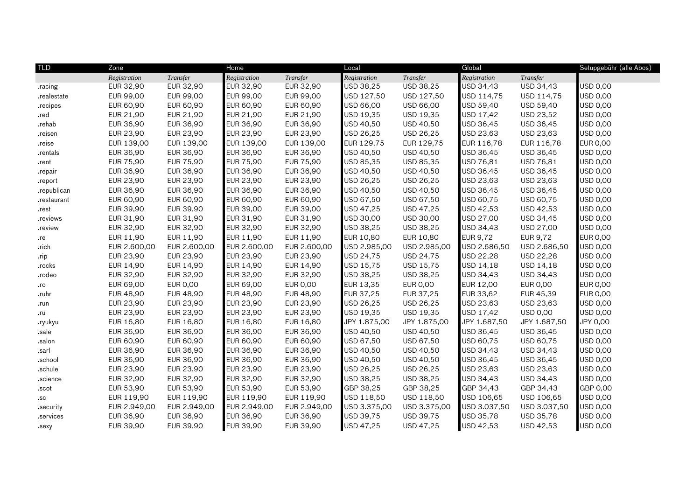| <b>TLD</b>  | Zone         |              | Home             |              | Local            |              | Global       |                 | Setupgebühr (alle Abos) |
|-------------|--------------|--------------|------------------|--------------|------------------|--------------|--------------|-----------------|-------------------------|
|             | Registration | Transfer     | Registration     | Transfer     | Registration     | Transfer     | Registration | Transfer        |                         |
| .racing     | EUR 32,90    | EUR 32,90    | EUR 32,90        | EUR 32,90    | USD 38,25        | USD 38,25    | USD 34,43    | USD 34,43       | USD 0,00                |
| .realestate | EUR 99,00    | EUR 99,00    | EUR 99,00        | EUR 99,00    | USD 127,50       | USD 127,50   | USD 114,75   | USD 114,75      | USD 0,00                |
| .recipes    | EUR 60,90    | EUR 60,90    | <b>EUR 60,90</b> | EUR 60,90    | USD 66,00        | USD 66,00    | USD 59,40    | USD 59,40       | USD 0,00                |
| .red        | EUR 21,90    | EUR 21,90    | <b>EUR 21,90</b> | EUR 21,90    | USD 19,35        | USD 19,35    | USD 17,42    | USD 23,52       | USD 0,00                |
| .rehab      | EUR 36,90    | EUR 36,90    | EUR 36,90        | EUR 36,90    | USD 40,50        | USD 40,50    | USD 36,45    | USD 36,45       | USD 0,00                |
| .reisen     | EUR 23,90    | EUR 23,90    | EUR 23,90        | EUR 23,90    | USD 26,25        | USD 26,25    | USD 23,63    | USD 23,63       | USD 0,00                |
| .reise      | EUR 139,00   | EUR 139,00   | EUR 139,00       | EUR 139,00   | EUR 129,75       | EUR 129,75   | EUR 116,78   | EUR 116,78      | <b>EUR 0,00</b>         |
| .rentals    | EUR 36,90    | EUR 36,90    | <b>EUR 36,90</b> | EUR 36,90    | USD 40,50        | USD 40,50    | USD 36,45    | USD 36,45       | USD 0,00                |
| .rent       | EUR 75,90    | EUR 75,90    | EUR 75,90        | EUR 75,90    | USD 85,35        | USD 85,35    | USD 76,81    | USD 76,81       | USD 0,00                |
| .repair     | EUR 36,90    | EUR 36,90    | EUR 36,90        | EUR 36,90    | USD 40,50        | USD 40,50    | USD 36,45    | USD 36,45       | USD 0,00                |
| .report     | EUR 23,90    | EUR 23,90    | <b>EUR 23,90</b> | EUR 23,90    | USD 26,25        | USD 26,25    | USD 23,63    | USD 23,63       | <b>USD 0,00</b>         |
| .republican | EUR 36,90    | EUR 36,90    | <b>EUR 36,90</b> | EUR 36,90    | USD 40,50        | USD 40,50    | USD 36,45    | USD 36,45       | USD 0,00                |
| .restaurant | EUR 60,90    | EUR 60,90    | EUR 60,90        | EUR 60,90    | USD 67,50        | USD 67,50    | USD 60,75    | USD 60,75       | USD 0,00                |
| .rest       | EUR 39,90    | EUR 39,90    | EUR 39,00        | EUR 39,00    | USD 47,25        | USD 47,25    | USD 42,53    | USD 42,53       | USD 0,00                |
| .reviews    | EUR 31,90    | EUR 31,90    | EUR 31,90        | EUR 31,90    | USD 30,00        | USD 30,00    | USD 27,00    | USD 34,45       | USD 0,00                |
| .review     | EUR 32,90    | EUR 32,90    | EUR 32,90        | EUR 32,90    | USD 38,25        | USD 38,25    | USD 34,43    | USD 27,00       | USD 0,00                |
| .re         | EUR 11,90    | EUR 11,90    | EUR 11,90        | EUR 11,90    | <b>EUR 10,80</b> | EUR 10,80    | EUR 9,72     | EUR 9,72        | <b>EUR 0,00</b>         |
| .rich       | EUR 2.600,00 | EUR 2.600,00 | EUR 2.600,00     | EUR 2.600,00 | USD 2.985,00     | USD 2.985,00 | USD 2.686,50 | USD 2.686,50    | USD 0,00                |
| .rip        | EUR 23,90    | EUR 23,90    | EUR 23,90        | EUR 23,90    | USD 24,75        | USD 24,75    | USD 22,28    | USD 22,28       | USD 0,00                |
| .rocks      | EUR 14,90    | EUR 14,90    | EUR 14,90        | EUR 14,90    | USD 15,75        | USD 15,75    | USD 14,18    | USD 14,18       | USD 0,00                |
| .rodeo      | EUR 32,90    | EUR 32,90    | EUR 32,90        | EUR 32,90    | USD 38,25        | USD 38,25    | USD 34,43    | USD 34,43       | USD 0,00                |
| .ro         | EUR 69,00    | EUR 0,00     | EUR 69,00        | EUR 0,00     | EUR 13,35        | EUR 0,00     | EUR 12,00    | EUR 0,00        | <b>EUR 0,00</b>         |
| .ruhr       | EUR 48,90    | EUR 48,90    | <b>EUR 48,90</b> | EUR 48,90    | EUR 37,25        | EUR 37,25    | EUR 33,62    | EUR 45,39       | <b>EUR 0,00</b>         |
| .run        | EUR 23,90    | EUR 23,90    | <b>EUR 23,90</b> | EUR 23,90    | USD 26,25        | USD 26,25    | USD 23,63    | USD 23,63       | <b>USD 0,00</b>         |
| .ru         | EUR 23,90    | EUR 23,90    | <b>EUR 23,90</b> | EUR 23,90    | USD 19,35        | USD 19,35    | USD 17,42    | <b>USD 0,00</b> | <b>USD 0,00</b>         |
| .ryukyu     | EUR 16,80    | EUR 16,80    | EUR 16,80        | EUR 16,80    | JPY 1.875,00     | JPY 1.875,00 | JPY 1.687,50 | JPY 1.687,50    | JPY 0,00                |
| .sale       | EUR 36,90    | EUR 36,90    | EUR 36,90        | EUR 36,90    | USD 40,50        | USD 40,50    | USD 36,45    | USD 36,45       | USD 0,00                |
| .salon      | EUR 60,90    | EUR 60,90    | <b>EUR 60,90</b> | EUR 60,90    | USD 67,50        | USD 67,50    | USD 60,75    | USD 60,75       | USD 0,00                |
| .sarl       | EUR 36,90    | EUR 36,90    | EUR 36,90        | EUR 36,90    | USD 40,50        | USD 40,50    | USD 34,43    | USD 34,43       | USD 0,00                |
| .school     | EUR 36,90    | EUR 36,90    | EUR 36,90        | EUR 36,90    | USD 40,50        | USD 40,50    | USD 36,45    | USD 36,45       | USD 0,00                |
| .schule     | EUR 23,90    | EUR 23,90    | <b>EUR 23,90</b> | EUR 23,90    | USD 26,25        | USD 26,25    | USD 23,63    | USD 23,63       | USD 0,00                |
| .science    | EUR 32,90    | EUR 32,90    | <b>EUR 32,90</b> | EUR 32,90    | USD 38,25        | USD 38,25    | USD 34,43    | USD 34,43       | USD 0,00                |
| .scot       | EUR 53,90    | EUR 53,90    | EUR 53,90        | EUR 53,90    | GBP 38,25        | GBP 38,25    | GBP 34,43    | GBP 34,43       | GBP 0,00                |
| .sc         | EUR 119,90   | EUR 119,90   | EUR 119,90       | EUR 119,90   | USD 118,50       | USD 118,50   | USD 106,65   | USD 106,65      | USD 0,00                |
| .security   | EUR 2.949,00 | EUR 2.949,00 | EUR 2.949,00     | EUR 2.949,00 | USD 3.375,00     | USD 3.375,00 | USD 3.037,50 | USD 3.037,50    | <b>USD 0,00</b>         |
| .services   | EUR 36,90    | EUR 36,90    | <b>EUR 36,90</b> | EUR 36,90    | USD 39,75        | USD 39,75    | USD 35,78    | USD 35,78       | <b>USD 0,00</b>         |
| .sexy       | EUR 39,90    | EUR 39,90    | EUR 39,90        | EUR 39,90    | USD 47,25        | USD 47,25    | USD 42,53    | USD 42,53       | <b>USD 0,00</b>         |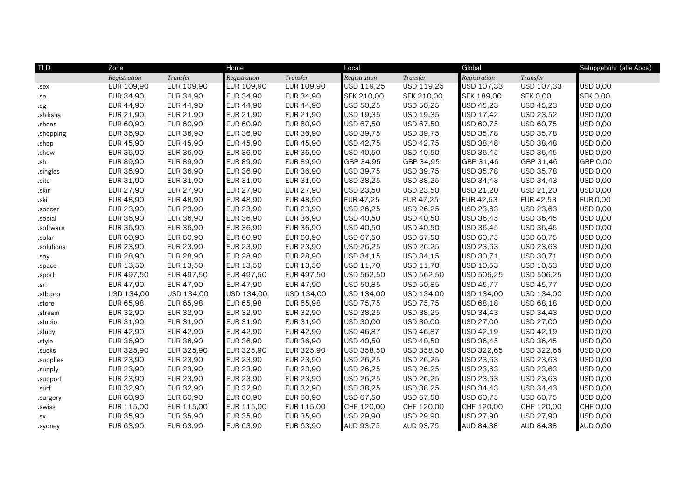| <b>TLD</b> | Zone         |            | Home             |            | Local            |            | Global       |                 | Setupgebühr (alle Abos) |
|------------|--------------|------------|------------------|------------|------------------|------------|--------------|-----------------|-------------------------|
|            | Registration | Transfer   | Registration     | Transfer   | Registration     | Transfer   | Registration | Transfer        |                         |
| .sex       | EUR 109,90   | EUR 109,90 | EUR 109,90       | EUR 109,90 | USD 119,25       | USD 119,25 | USD 107,33   | USD 107,33      | USD 0,00                |
| .se        | EUR 34,90    | EUR 34,90  | EUR 34,90        | EUR 34,90  | SEK 210,00       | SEK 210,00 | SEK 189,00   | <b>SEK 0,00</b> | <b>SEK 0,00</b>         |
| .sg        | EUR 44,90    | EUR 44,90  | <b>EUR 44,90</b> | EUR 44,90  | USD 50,25        | USD 50,25  | USD 45,23    | USD 45,23       | USD 0,00                |
| .shiksha   | EUR 21,90    | EUR 21,90  | <b>EUR 21,90</b> | EUR 21,90  | USD 19,35        | USD 19,35  | USD 17,42    | USD 23,52       | USD 0,00                |
| .shoes     | EUR 60,90    | EUR 60,90  | <b>EUR 60,90</b> | EUR 60,90  | USD 67,50        | USD 67,50  | USD 60,75    | USD 60,75       | USD 0,00                |
| .shopping  | EUR 36,90    | EUR 36,90  | EUR 36,90        | EUR 36,90  | USD 39,75        | USD 39,75  | USD 35,78    | USD 35,78       | USD 0,00                |
| .shop      | EUR 45,90    | EUR 45,90  | EUR 45,90        | EUR 45,90  | USD 42,75        | USD 42,75  | USD 38,48    | USD 38,48       | USD 0,00                |
| .show      | EUR 36,90    | EUR 36,90  | <b>EUR 36,90</b> | EUR 36,90  | USD 40,50        | USD 40,50  | USD 36,45    | USD 36,45       | USD 0,00                |
| .sh        | EUR 89,90    | EUR 89,90  | EUR 89,90        | EUR 89,90  | GBP 34,95        | GBP 34,95  | GBP 31,46    | GBP 31,46       | GBP 0,00                |
| .singles   | EUR 36,90    | EUR 36,90  | EUR 36,90        | EUR 36,90  | USD 39,75        | USD 39,75  | USD 35,78    | USD 35,78       | USD 0,00                |
| .site      | EUR 31,90    | EUR 31,90  | EUR 31,90        | EUR 31,90  | USD 38,25        | USD 38,25  | USD 34,43    | USD 34,43       | USD 0,00                |
| .skin      | EUR 27,90    | EUR 27,90  | <b>EUR 27,90</b> | EUR 27,90  | USD 23,50        | USD 23,50  | USD 21,20    | USD 21,20       | USD 0,00                |
| .ski       | EUR 48,90    | EUR 48,90  | <b>EUR 48,90</b> | EUR 48,90  | <b>EUR 47,25</b> | EUR 47,25  | EUR 42,53    | EUR 42,53       | <b>EUR 0,00</b>         |
| .soccer    | EUR 23,90    | EUR 23,90  | EUR 23,90        | EUR 23,90  | USD 26,25        | USD 26,25  | USD 23,63    | USD 23,63       | USD 0,00                |
| .social    | EUR 36,90    | EUR 36,90  | EUR 36,90        | EUR 36,90  | USD 40,50        | USD 40,50  | USD 36,45    | USD 36,45       | USD 0,00                |
| .software  | EUR 36,90    | EUR 36,90  | <b>EUR 36,90</b> | EUR 36,90  | USD 40,50        | USD 40,50  | USD 36,45    | USD 36,45       | USD 0,00                |
| .solar     | EUR 60,90    | EUR 60,90  | <b>EUR 60,90</b> | EUR 60,90  | USD 67,50        | USD 67,50  | USD 60,75    | USD 60,75       | USD 0,00                |
| .solutions | EUR 23,90    | EUR 23,90  | <b>EUR 23,90</b> | EUR 23,90  | USD 26,25        | USD 26,25  | USD 23,63    | USD 23,63       | USD 0,00                |
| .soy       | EUR 28,90    | EUR 28,90  | <b>EUR 28,90</b> | EUR 28,90  | USD 34,15        | USD 34,15  | USD 30,71    | USD 30,71       | USD 0,00                |
| .space     | EUR 13,50    | EUR 13,50  | <b>EUR 13,50</b> | EUR 13,50  | USD 11,70        | USD 11,70  | USD 10,53    | USD 10,53       | USD 0,00                |
| .sport     | EUR 497,50   | EUR 497,50 | EUR 497,50       | EUR 497,50 | USD 562,50       | USD 562,50 | USD 506,25   | USD 506,25      | USD 0,00                |
| .srl       | EUR 47,90    | EUR 47,90  | EUR 47,90        | EUR 47,90  | USD 50,85        | USD 50,85  | USD 45,77    | USD 45,77       | USD 0,00                |
| .stb.pro   | USD 134,00   | USD 134,00 | USD 134,00       | USD 134,00 | USD 134,00       | USD 134,00 | USD 134,00   | USD 134,00      | USD 0,00                |
| .store     | EUR 65,98    | EUR 65,98  | <b>EUR 65,98</b> | EUR 65,98  | USD 75,75        | USD 75,75  | USD 68,18    | USD 68,18       | USD 0,00                |
| .stream    | EUR 32,90    | EUR 32,90  | <b>EUR 32,90</b> | EUR 32,90  | USD 38,25        | USD 38,25  | USD 34,43    | USD 34,43       | USD 0,00                |
| .studio    | EUR 31,90    | EUR 31,90  | <b>EUR 31,90</b> | EUR 31,90  | USD 30,00        | USD 30,00  | USD 27,00    | USD 27,00       | USD 0,00                |
| .study     | EUR 42,90    | EUR 42,90  | <b>EUR 42,90</b> | EUR 42,90  | USD 46,87        | USD 46,87  | USD 42,19    | USD 42,19       | USD 0,00                |
| .style     | EUR 36,90    | EUR 36,90  | <b>EUR 36,90</b> | EUR 36,90  | USD 40,50        | USD 40,50  | USD 36,45    | USD 36,45       | USD 0,00                |
| .sucks     | EUR 325,90   | EUR 325,90 | EUR 325,90       | EUR 325,90 | USD 358,50       | USD 358,50 | USD 322,65   | USD 322,65      | USD 0,00                |
| supplies   | EUR 23,90    | EUR 23,90  | EUR 23,90        | EUR 23,90  | USD 26,25        | USD 26,25  | USD 23,63    | USD 23,63       | USD 0,00                |
| .supply    | EUR 23,90    | EUR 23,90  | EUR 23,90        | EUR 23,90  | USD 26,25        | USD 26,25  | USD 23,63    | USD 23,63       | USD 0,00                |
| .support   | EUR 23,90    | EUR 23,90  | <b>EUR 23,90</b> | EUR 23,90  | USD 26,25        | USD 26,25  | USD 23,63    | USD 23,63       | USD 0,00                |
| .surf      | EUR 32,90    | EUR 32,90  | <b>EUR 32,90</b> | EUR 32,90  | USD 38,25        | USD 38,25  | USD 34,43    | USD 34,43       | USD 0,00                |
| .surgery   | EUR 60,90    | EUR 60,90  | EUR 60,90        | EUR 60,90  | USD 67,50        | USD 67,50  | USD 60,75    | USD 60,75       | USD 0,00                |
| .swiss     | EUR 115,00   | EUR 115,00 | EUR 115,00       | EUR 115,00 | CHF 120,00       | CHF 120,00 | CHF 120,00   | CHF 120,00      | CHF 0,00                |
| .SX        | EUR 35,90    | EUR 35,90  | <b>EUR 35,90</b> | EUR 35,90  | USD 29,90        | USD 29,90  | USD 27,90    | USD 27,90       | USD 0,00                |
| .sydney    | EUR 63,90    | EUR 63,90  | EUR 63,90        | EUR 63,90  | AUD 93,75        | AUD 93,75  | AUD 84,38    | AUD 84,38       | <b>AUD 0,00</b>         |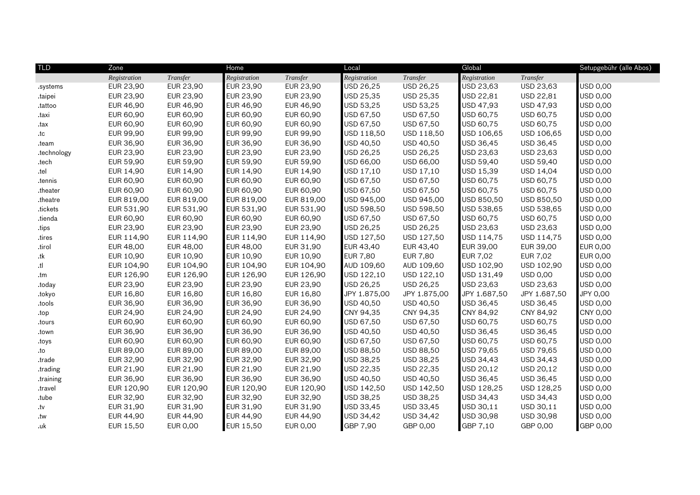| <b>TLD</b>  | Zone         |            |                  | Home       |                  | Local            |                 |                 | Setupgebühr (alle Abos) |  |
|-------------|--------------|------------|------------------|------------|------------------|------------------|-----------------|-----------------|-------------------------|--|
|             | Registration | Transfer   | Registration     | Transfer   | Registration     | Transfer         | Registration    | Transfer        |                         |  |
| .systems    | EUR 23,90    | EUR 23,90  | <b>EUR 23,90</b> | EUR 23,90  | USD 26,25        | USD 26,25        | USD 23,63       | USD 23,63       | USD 0,00                |  |
| taipei      | EUR 23,90    | EUR 23,90  | EUR 23,90        | EUR 23,90  | USD 25,35        | USD 25,35        | USD 22,81       | USD 22,81       | USD 0,00                |  |
| .tattoo     | EUR 46,90    | EUR 46,90  | <b>EUR 46,90</b> | EUR 46,90  | USD 53,25        | USD 53,25        | USD 47,93       | USD 47,93       | USD 0,00                |  |
| taxi.       | EUR 60,90    | EUR 60,90  | <b>EUR 60,90</b> | EUR 60,90  | USD 67,50        | USD 67,50        | USD 60,75       | USD 60,75       | USD 0,00                |  |
| .tax        | EUR 60,90    | EUR 60,90  | <b>EUR 60,90</b> | EUR 60,90  | USD 67,50        | USD 67,50        | USD 60,75       | USD 60,75       | USD 0,00                |  |
| .tc         | EUR 99,90    | EUR 99,90  | <b>EUR 99,90</b> | EUR 99,90  | USD 118,50       | USD 118,50       | USD 106,65      | USD 106,65      | USD 0,00                |  |
| .team       | EUR 36,90    | EUR 36,90  | EUR 36,90        | EUR 36,90  | USD 40,50        | USD 40,50        | USD 36,45       | USD 36,45       | USD 0,00                |  |
| .technology | EUR 23,90    | EUR 23,90  | <b>EUR 23,90</b> | EUR 23,90  | USD 26,25        | USD 26,25        | USD 23,63       | USD 23,63       | USD 0,00                |  |
| .tech       | EUR 59,90    | EUR 59,90  | EUR 59,90        | EUR 59,90  | USD 66,00        | USD 66,00        | USD 59,40       | USD 59,40       | USD 0,00                |  |
| .tel        | EUR 14,90    | EUR 14,90  | <b>EUR 14,90</b> | EUR 14,90  | USD 17,10        | USD 17,10        | USD 15,39       | USD 14,04       | USD 0,00                |  |
| tennis.     | EUR 60,90    | EUR 60,90  | EUR 60,90        | EUR 60,90  | USD 67,50        | USD 67,50        | USD 60,75       | USD 60,75       | USD 0,00                |  |
| .theater    | EUR 60,90    | EUR 60,90  | EUR 60,90        | EUR 60,90  | USD 67,50        | USD 67,50        | USD 60,75       | USD 60,75       | USD 0,00                |  |
| .theatre    | EUR 819,00   | EUR 819,00 | EUR 819,00       | EUR 819,00 | USD 945,00       | USD 945,00       | USD 850,50      | USD 850,50      | USD 0,00                |  |
| tickets     | EUR 531,90   | EUR 531,90 | EUR 531,90       | EUR 531,90 | USD 598,50       | USD 598,50       | USD 538,65      | USD 538,65      | USD 0,00                |  |
| .tienda     | EUR 60,90    | EUR 60,90  | EUR 60,90        | EUR 60,90  | USD 67,50        | USD 67,50        | USD 60,75       | USD 60,75       | USD 0,00                |  |
| tips        | EUR 23,90    | EUR 23,90  | <b>EUR 23,90</b> | EUR 23,90  | USD 26,25        | USD 26,25        | USD 23,63       | USD 23,63       | USD 0,00                |  |
| .tires      | EUR 114,90   | EUR 114,90 | EUR 114,90       | EUR 114,90 | USD 127,50       | USD 127,50       | USD 114,75      | USD 114,75      | USD 0,00                |  |
| .tirol      | EUR 48,00    | EUR 48,00  | <b>EUR 48,00</b> | EUR 31,90  | <b>EUR 43,40</b> | EUR 43,40        | EUR 39,00       | EUR 39,00       | <b>EUR 0,00</b>         |  |
| .tk         | EUR 10,90    | EUR 10,90  | EUR 10,90        | EUR 10,90  | <b>EUR 7,80</b>  | <b>EUR 7,80</b>  | <b>EUR 7,02</b> | EUR 7,02        | <b>EUR 0,00</b>         |  |
| .tl         | EUR 104,90   | EUR 104,90 | EUR 104,90       | EUR 104,90 | AUD 109,60       | AUD 109,60       | USD 102,90      | USD 102,90      | USD 0,00                |  |
| .tm         | EUR 126,90   | EUR 126,90 | EUR 126,90       | EUR 126,90 | USD 122,10       | USD 122,10       | USD 131,49      | <b>USD 0,00</b> | USD 0,00                |  |
| .today      | EUR 23,90    | EUR 23,90  | EUR 23,90        | EUR 23,90  | USD 26,25        | USD 26,25        | USD 23,63       | USD 23,63       | USD 0,00                |  |
| .tokyo      | EUR 16,80    | EUR 16,80  | <b>EUR 16,80</b> | EUR 16,80  | JPY 1.875,00     | JPY 1.875,00     | JPY 1.687,50    | JPY 1.687,50    | JPY 0,00                |  |
| .tools      | EUR 36,90    | EUR 36,90  | <b>EUR 36,90</b> | EUR 36,90  | USD 40,50        | USD 40,50        | USD 36,45       | USD 36,45       | USD 0,00                |  |
| .top        | EUR 24,90    | EUR 24,90  | <b>EUR 24,90</b> | EUR 24,90  | CNY 94,35        | CNY 94,35        | CNY 84,92       | CNY 84,92       | <b>CNY 0,00</b>         |  |
| .tours      | EUR 60,90    | EUR 60,90  | <b>EUR 60,90</b> | EUR 60,90  | USD 67,50        | USD 67,50        | USD 60,75       | USD 60,75       | USD 0,00                |  |
| .town       | EUR 36,90    | EUR 36,90  | EUR 36,90        | EUR 36,90  | USD 40,50        | USD 40,50        | USD 36,45       | USD 36,45       | USD 0,00                |  |
| .toys       | EUR 60,90    | EUR 60,90  | <b>EUR 60,90</b> | EUR 60,90  | USD 67,50        | USD 67,50        | USD 60,75       | USD 60,75       | USD 0,00                |  |
| .to         | EUR 89,00    | EUR 89,00  | EUR 89,00        | EUR 89,00  | USD 88,50        | <b>USD 88,50</b> | USD 79,65       | USD 79,65       | USD 0,00                |  |
| .trade      | EUR 32,90    | EUR 32,90  | <b>EUR 32,90</b> | EUR 32,90  | USD 38,25        | USD 38,25        | USD 34,43       | USD 34,43       | USD 0,00                |  |
| .trading    | EUR 21,90    | EUR 21,90  | EUR 21,90        | EUR 21,90  | USD 22,35        | USD 22,35        | USD 20,12       | USD 20,12       | USD 0,00                |  |
| .training   | EUR 36,90    | EUR 36,90  | EUR 36,90        | EUR 36,90  | USD 40,50        | USD 40,50        | USD 36,45       | USD 36,45       | USD 0,00                |  |
| .travel     | EUR 120,90   | EUR 120,90 | EUR 120,90       | EUR 120,90 | USD 142,50       | USD 142,50       | USD 128,25      | USD 128,25      | USD 0,00                |  |
| .tube       | EUR 32,90    | EUR 32,90  | EUR 32,90        | EUR 32,90  | USD 38,25        | USD 38,25        | USD 34,43       | USD 34,43       | USD 0,00                |  |
| .tv         | EUR 31,90    | EUR 31,90  | EUR 31,90        | EUR 31,90  | USD 33,45        | USD 33,45        | USD 30,11       | USD 30,11       | USD 0,00                |  |
| .tw         | EUR 44,90    | EUR 44,90  | <b>EUR 44,90</b> | EUR 44,90  | USD 34,42        | USD 34,42        | USD 30,98       | USD 30,98       | USD 0,00                |  |
| .uk         | EUR 15,50    | EUR 0,00   | EUR 15,50        | EUR 0,00   | GBP 7,90         | GBP 0,00         | GBP 7,10        | GBP 0,00        | GBP 0,00                |  |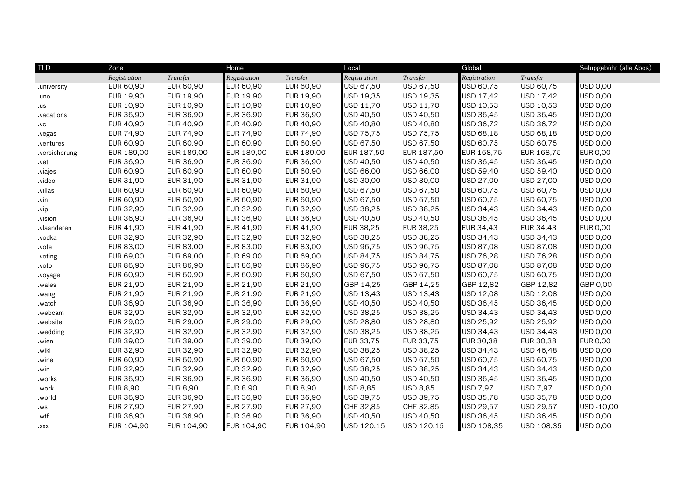| <b>TLD</b>   | Zone         |                 |                  | Home            |              | Local           |              |                 | Setupgebühr (alle Abos) |  |
|--------------|--------------|-----------------|------------------|-----------------|--------------|-----------------|--------------|-----------------|-------------------------|--|
|              | Registration | Transfer        | Registration     | Transfer        | Registration | Transfer        | Registration | Transfer        |                         |  |
| university.  | EUR 60,90    | EUR 60,90       | <b>EUR 60,90</b> | EUR 60,90       | USD 67,50    | USD 67,50       | USD 60,75    | USD 60,75       | USD 0,00                |  |
| uno.         | EUR 19,90    | EUR 19,90       | EUR 19,90        | EUR 19,90       | USD 19,35    | USD 19,35       | USD 17,42    | USD 17,42       | USD 0,00                |  |
| .us          | EUR 10,90    | EUR 10,90       | <b>EUR 10,90</b> | EUR 10,90       | USD 11,70    | USD 11,70       | USD 10,53    | USD 10,53       | USD 0,00                |  |
| vacations.   | EUR 36,90    | EUR 36,90       | EUR 36,90        | EUR 36,90       | USD 40,50    | USD 40,50       | USD 36,45    | USD 36,45       | USD 0,00                |  |
| .vc          | EUR 40,90    | EUR 40,90       | <b>EUR 40,90</b> | EUR 40,90       | USD 40,80    | USD 40,80       | USD 36,72    | USD 36,72       | USD 0,00                |  |
| vegas.       | EUR 74,90    | EUR 74,90       | <b>EUR 74,90</b> | EUR 74,90       | USD 75,75    | USD 75,75       | USD 68,18    | USD 68,18       | USD 0,00                |  |
| .ventures    | EUR 60,90    | EUR 60,90       | EUR 60,90        | EUR 60,90       | USD 67,50    | USD 67,50       | USD 60,75    | USD 60,75       | USD 0,00                |  |
| versicherung | EUR 189,00   | EUR 189,00      | EUR 189,00       | EUR 189,00      | EUR 187,50   | EUR 187,50      | EUR 168,75   | EUR 168,75      | <b>EUR 0,00</b>         |  |
| .vet         | EUR 36,90    | EUR 36,90       | EUR 36,90        | EUR 36,90       | USD 40,50    | USD 40,50       | USD 36,45    | USD 36,45       | USD 0,00                |  |
| .viajes      | EUR 60,90    | EUR 60,90       | <b>EUR 60,90</b> | EUR 60,90       | USD 66,00    | USD 66,00       | USD 59,40    | USD 59,40       | USD 0,00                |  |
| .video       | EUR 31,90    | EUR 31,90       | EUR 31,90        | EUR 31,90       | USD 30,00    | USD 30,00       | USD 27,00    | USD 27,00       | USD 0,00                |  |
| .villas      | EUR 60,90    | EUR 60,90       | EUR 60,90        | EUR 60,90       | USD 67,50    | USD 67,50       | USD 60,75    | USD 60,75       | USD 0,00                |  |
| .vin         | EUR 60,90    | EUR 60,90       | <b>EUR 60,90</b> | EUR 60,90       | USD 67,50    | USD 67,50       | USD 60,75    | USD 60,75       | USD 0,00                |  |
| .vip         | EUR 32,90    | EUR 32,90       | EUR 32,90        | EUR 32,90       | USD 38,25    | USD 38,25       | USD 34,43    | USD 34,43       | USD 0,00                |  |
| vision.      | EUR 36,90    | EUR 36,90       | EUR 36,90        | EUR 36,90       | USD 40,50    | USD 40,50       | USD 36,45    | USD 36,45       | USD 0,00                |  |
| .vlaanderen  | EUR 41,90    | EUR 41,90       | EUR 41,90        | EUR 41,90       | EUR 38,25    | EUR 38,25       | EUR 34,43    | EUR 34,43       | <b>EUR 0,00</b>         |  |
| .vodka       | EUR 32,90    | EUR 32,90       | <b>EUR 32,90</b> | EUR 32,90       | USD 38,25    | USD 38,25       | USD 34,43    | USD 34,43       | USD 0,00                |  |
| .vote        | EUR 83,00    | EUR 83,00       | <b>EUR 83,00</b> | EUR 83,00       | USD 96,75    | USD 96,75       | USD 87,08    | USD 87,08       | USD 0,00                |  |
| .voting      | EUR 69,00    | EUR 69,00       | <b>EUR 69,00</b> | EUR 69,00       | USD 84,75    | USD 84,75       | USD 76,28    | USD 76,28       | USD 0,00                |  |
| .voto        | EUR 86,90    | EUR 86,90       | <b>EUR 86,90</b> | EUR 86,90       | USD 96,75    | USD 96,75       | USD 87,08    | USD 87,08       | USD 0,00                |  |
| .voyage      | EUR 60,90    | EUR 60,90       | <b>EUR 60,90</b> | EUR 60,90       | USD 67,50    | USD 67,50       | USD 60,75    | USD 60,75       | USD 0,00                |  |
| .wales       | EUR 21,90    | EUR 21,90       | EUR 21,90        | EUR 21,90       | GBP 14,25    | GBP 14,25       | GBP 12,82    | GBP 12,82       | GBP 0,00                |  |
| .wang        | EUR 21,90    | EUR 21,90       | EUR 21,90        | EUR 21,90       | USD 13,43    | USD 13,43       | USD 12,08    | USD 12,08       | USD 0,00                |  |
| .watch       | EUR 36,90    | EUR 36,90       | <b>EUR 36,90</b> | EUR 36,90       | USD 40,50    | USD 40,50       | USD 36,45    | USD 36,45       | USD 0,00                |  |
| .webcam      | EUR 32,90    | EUR 32,90       | <b>EUR 32,90</b> | EUR 32,90       | USD 38,25    | USD 38,25       | USD 34,43    | USD 34,43       | USD 0,00                |  |
| .website     | EUR 29,00    | EUR 29,00       | <b>EUR 29,00</b> | EUR 29,00       | USD 28,80    | USD 28,80       | USD 25,92    | USD 25,92       | USD 0,00                |  |
| .wedding     | EUR 32,90    | EUR 32,90       | EUR 32,90        | EUR 32,90       | USD 38,25    | USD 38,25       | USD 34,43    | USD 34,43       | USD 0,00                |  |
| wien.        | EUR 39,00    | EUR 39,00       | <b>EUR 39,00</b> | EUR 39,00       | EUR 33,75    | EUR 33,75       | EUR 30,38    | EUR 30,38       | <b>EUR 0,00</b>         |  |
| .wiki        | EUR 32,90    | EUR 32,90       | EUR 32,90        | EUR 32,90       | USD 38,25    | USD 38,25       | USD 34,43    | USD 46,48       | USD 0,00                |  |
| .wine        | EUR 60,90    | EUR 60,90       | EUR 60,90        | EUR 60,90       | USD 67,50    | USD 67,50       | USD 60,75    | USD 60,75       | USD 0,00                |  |
| .win         | EUR 32,90    | EUR 32,90       | EUR 32,90        | EUR 32,90       | USD 38,25    | USD 38,25       | USD 34,43    | USD 34,43       | USD 0,00                |  |
| .works       | EUR 36,90    | EUR 36,90       | <b>EUR 36,90</b> | EUR 36,90       | USD 40,50    | USD 40,50       | USD 36,45    | USD 36,45       | USD 0,00                |  |
| .work        | EUR 8,90     | <b>EUR 8,90</b> | <b>EUR 8,90</b>  | <b>EUR 8,90</b> | USD 8,85     | <b>USD 8,85</b> | USD 7,97     | <b>USD 7,97</b> | USD 0,00                |  |
| .world       | EUR 36,90    | EUR 36,90       | EUR 36,90        | EUR 36,90       | USD 39,75    | USD 39,75       | USD 35,78    | USD 35,78       | USD 0,00                |  |
| .ws          | EUR 27,90    | EUR 27,90       | <b>EUR 27,90</b> | EUR 27,90       | CHF 32,85    | CHF 32,85       | USD 29,57    | USD 29,57       | USD-10,00               |  |
| .wtf         | EUR 36,90    | EUR 36,90       | <b>EUR 36,90</b> | EUR 36,90       | USD 40,50    | USD 40,50       | USD 36,45    | USD 36,45       | USD 0,00                |  |
| .XXX         | EUR 104,90   | EUR 104,90      | EUR 104,90       | EUR 104,90      | USD 120,15   | USD 120,15      | USD 108,35   | USD 108,35      | <b>USD 0,00</b>         |  |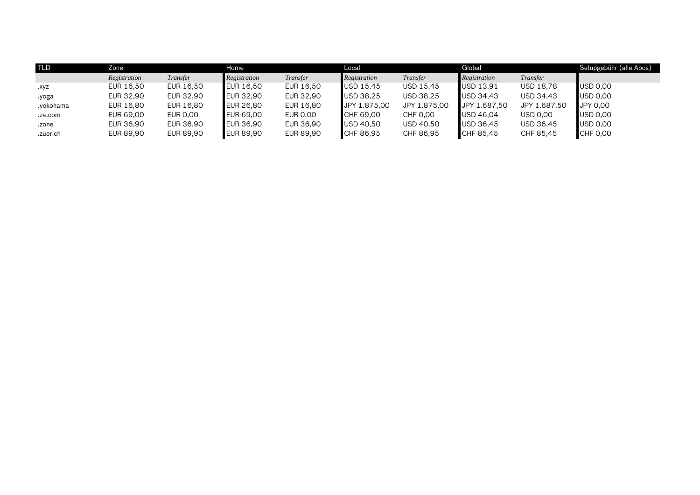| <b>TLD</b> | Zone         |           | Home             |           | Local                               |              | Global       |                 | Setupgebühr (alle Abos) |  |
|------------|--------------|-----------|------------------|-----------|-------------------------------------|--------------|--------------|-----------------|-------------------------|--|
|            | Registration | Transfer  | Registration     | Transfer  | Registration                        | Transfer     | Registration | Transfer        |                         |  |
| .xyz       | EUR 16,50    | EUR 16,50 | <b>EUR 16,50</b> | EUR 16,50 | $\overline{\phantom{1}0}$ USD 15,45 | USD 15,45    | USD 13,91    | USD 18,78       | USD 0,00                |  |
| yoga.      | EUR 32,90    | EUR 32,90 | <b>EUR 32,90</b> | EUR 32,90 | USD 38.25                           | USD 38,25    | USD 34,43    | USD 34,43       | USD 0,00                |  |
| .yokohama  | EUR 16,80    | EUR 16,80 | <b>EUR 26,80</b> | EUR 16,80 | JPY 1.875,00                        | JPY 1.875,00 | JPY 1.687,50 | JPY 1.687,50    | JPY 0,00                |  |
| .za.com    | EUR 69,00    | EUR 0,00  | <b>EUR 69,00</b> | EUR 0,00  | CHF 69,00                           | CHF 0,00     | USD 46,04    | <b>USD 0,00</b> | USD 0,00                |  |
| .zone      | EUR 36,90    | EUR 36,90 | <b>EUR 36,90</b> | EUR 36,90 | $\overline{\phantom{1}}$ USD 40,50  | USD 40,50    | USD 36,45    | USD 36,45       | USD 0,00                |  |
| .zuerich   | EUR 89,90    | EUR 89,90 | <b>EUR 89,90</b> | EUR 89,90 | CHF 86,95                           | CHF 86,95    | CHF 85,45    | CHF 85,45       | CHF 0,00                |  |
|            |              |           |                  |           |                                     |              |              |                 |                         |  |